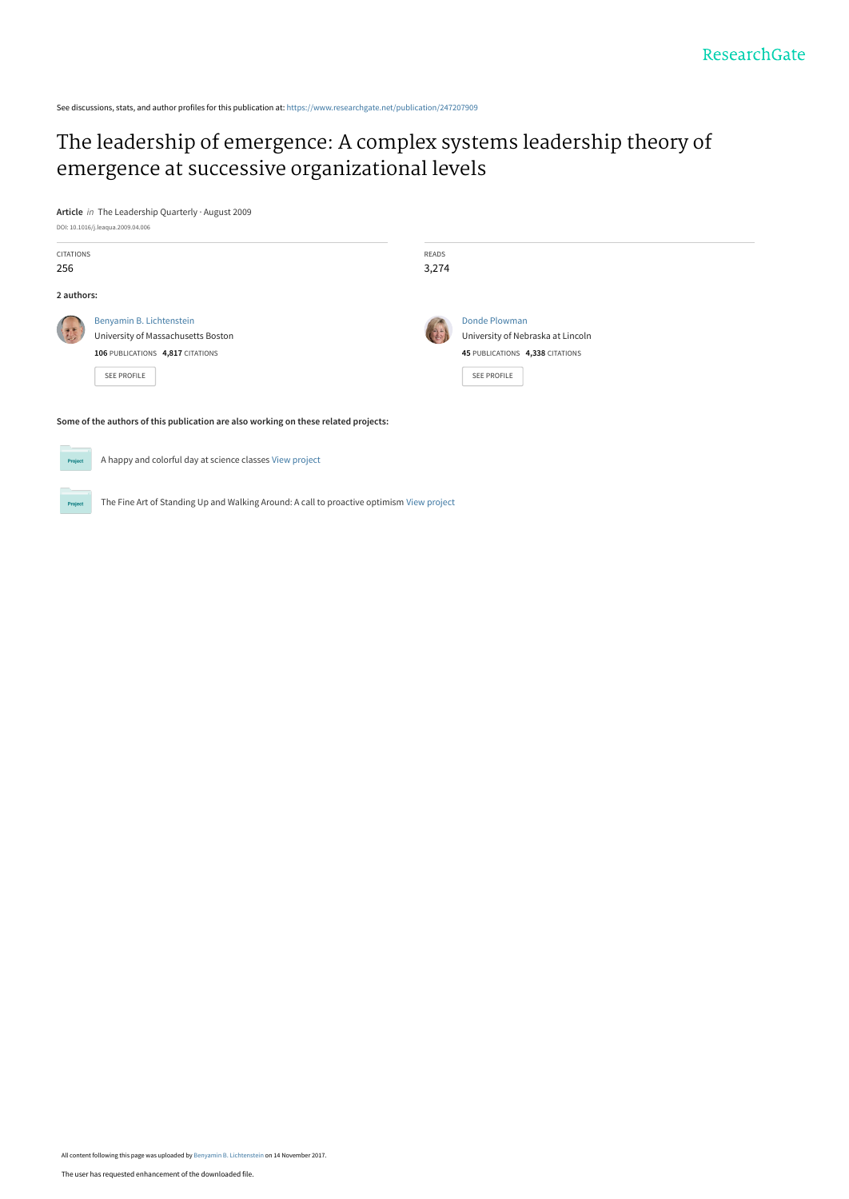See discussions, stats, and author profiles for this publication at: [https://www.researchgate.net/publication/247207909](https://www.researchgate.net/publication/247207909_The_leadership_of_emergence_A_complex_systems_leadership_theory_of_emergence_at_successive_organizational_levels?enrichId=rgreq-279f4846311f0f120d33c48dc9ff07e1-XXX&enrichSource=Y292ZXJQYWdlOzI0NzIwNzkwOTtBUzo1NjA2MTU4ODAzNjQwMzJAMTUxMDY3MjY0OTUxNg%3D%3D&el=1_x_2&_esc=publicationCoverPdf)

### [The leadership of emergence: A complex systems leadership theory of](https://www.researchgate.net/publication/247207909_The_leadership_of_emergence_A_complex_systems_leadership_theory_of_emergence_at_successive_organizational_levels?enrichId=rgreq-279f4846311f0f120d33c48dc9ff07e1-XXX&enrichSource=Y292ZXJQYWdlOzI0NzIwNzkwOTtBUzo1NjA2MTU4ODAzNjQwMzJAMTUxMDY3MjY0OTUxNg%3D%3D&el=1_x_3&_esc=publicationCoverPdf) emergence at successive organizational levels



Proj



The Fine Art of Standing Up and Walking Around: A call to proactive optimism [View project](https://www.researchgate.net/project/The-Fine-Art-of-Standing-Up-and-Walking-Around-A-call-to-proactive-optimism?enrichId=rgreq-279f4846311f0f120d33c48dc9ff07e1-XXX&enrichSource=Y292ZXJQYWdlOzI0NzIwNzkwOTtBUzo1NjA2MTU4ODAzNjQwMzJAMTUxMDY3MjY0OTUxNg%3D%3D&el=1_x_9&_esc=publicationCoverPdf)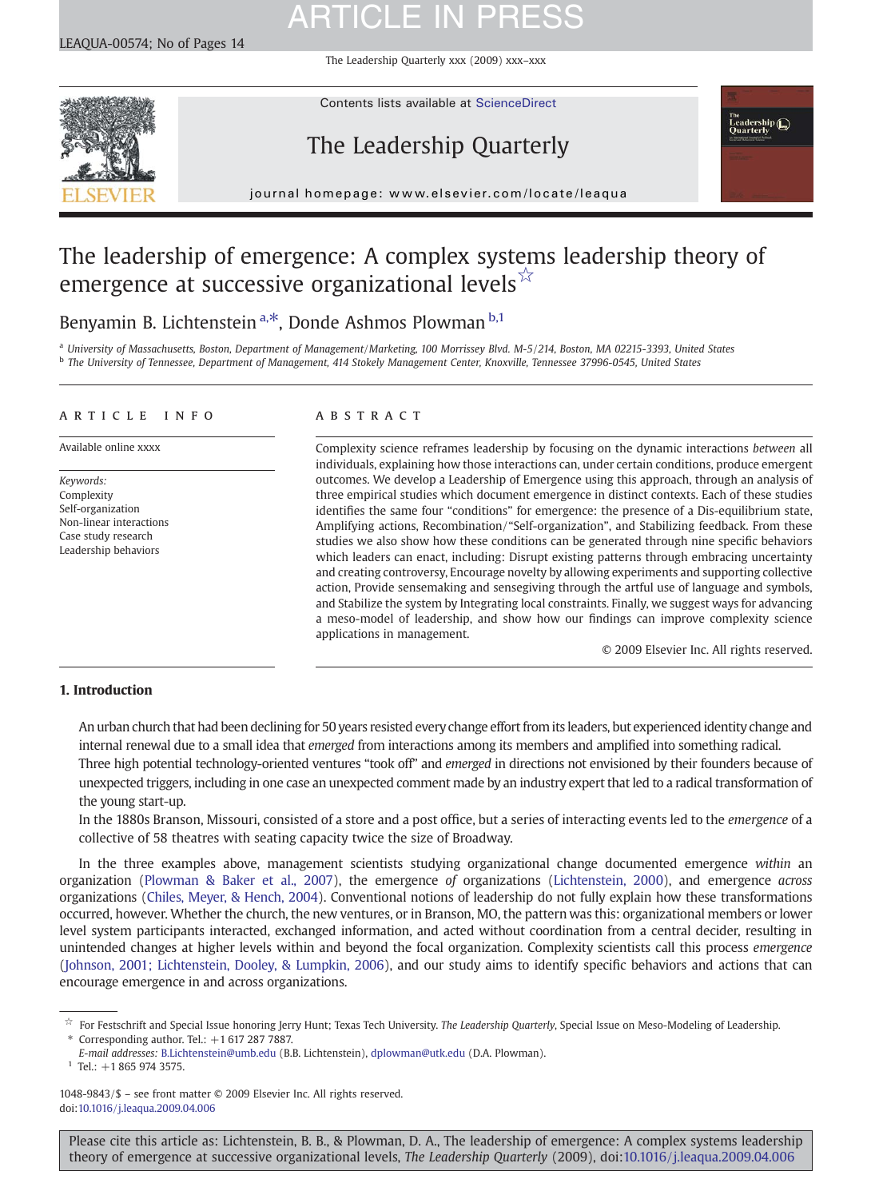The Leadership Quarterly xxx (2009) xxx–xxx



Contents lists available at ScienceDirect

### The Leadership Quarterly



j o u r n a g e  $\mathbf{r}$  . We are even if  $\mathbf{r}$  is even  $\mathbf{r}$  and  $\mathbf{r}$  and  $\mathbf{r}$  and  $\mathbf{r}$  and  $\mathbf{r}$  and  $\mathbf{r}$  and  $\mathbf{r}$  and  $\mathbf{r}$  and  $\mathbf{r}$  and  $\mathbf{r}$  and  $\mathbf{r}$  and  $\mathbf{r}$  and  $\mathbf{r$ 

### The leadership of emergence: A complex systems leadership theory of emergence at successive organizational levels<sup>☆</sup>

### Benyamin B. Lichtenstein a,\*, Donde Ashmos Plowman b,1

<sup>a</sup> University of Massachusetts, Boston, Department of Management/Marketing, 100 Morrissey Blvd. M-5/214, Boston, MA 02215-3393, United States <sup>b</sup> The University of Tennessee, Department of Management, 414 Stokely Management Center, Knoxville, Tennessee 37996-0545, United States

#### article info abstract

Keywords: Complexity Self-organization Non-linear interactions Case study research Leadership behaviors

Available online xxxx Complexity science reframes leadership by focusing on the dynamic interactions between all individuals, explaining how those interactions can, under certain conditions, produce emergent outcomes. We develop a Leadership of Emergence using this approach, through an analysis of three empirical studies which document emergence in distinct contexts. Each of these studies identifies the same four "conditions" for emergence: the presence of a Dis-equilibrium state, Amplifying actions, Recombination/"Self-organization", and Stabilizing feedback. From these studies we also show how these conditions can be generated through nine specific behaviors which leaders can enact, including: Disrupt existing patterns through embracing uncertainty and creating controversy, Encourage novelty by allowing experiments and supporting collective action, Provide sensemaking and sensegiving through the artful use of language and symbols, and Stabilize the system by Integrating local constraints. Finally, we suggest ways for advancing a meso-model of leadership, and show how our findings can improve complexity science applications in management.

© 2009 Elsevier Inc. All rights reserved.

#### 1. Introduction

An urban church that had been declining for 50 years resisted every change effort from its leaders, but experienced identity change and internal renewal due to a small idea that emerged from interactions among its members and amplified into something radical.

Three high potential technology-oriented ventures "took off" and emerged in directions not envisioned by their founders because of unexpected triggers, including in one case an unexpected comment made by an industry expert that led to a radical transformation of the young start-up.

In the 1880s Branson, Missouri, consisted of a store and a post office, but a series of interacting events led to the emergence of a collective of 58 theatres with seating capacity twice the size of Broadway.

In the three examples above, management scientists studying organizational change documented emergence within an organization ([Plowman & Baker et al., 2007](#page-14-0)), the emergence of organizations [\(Lichtenstein, 2000\)](#page-13-0), and emergence across organizations [\(Chiles, Meyer, & Hench, 2004\)](#page-13-0). Conventional notions of leadership do not fully explain how these transformations occurred, however. Whether the church, the new ventures, or in Branson, MO, the pattern was this: organizational members or lower level system participants interacted, exchanged information, and acted without coordination from a central decider, resulting in unintended changes at higher levels within and beyond the focal organization. Complexity scientists call this process emergence [\(Johnson, 2001; Lichtenstein, Dooley, & Lumpkin, 2006\)](#page-13-0), and our study aims to identify specific behaviors and actions that can encourage emergence in and across organizations.

Corresponding author. Tel.:  $+16172877887$ .

1048-9843/\$ – see front matter © 2009 Elsevier Inc. All rights reserved. doi[:10.1016/j.leaqua.2009.04.006](http://dx.doi.org/10.1016/j.leaqua.2009.04.006)

 $\overrightarrow{x}$  For Festschrift and Special Issue honoring Jerry Hunt; Texas Tech University. The Leadership Quarterly, Special Issue on Meso-Modeling of Leadership.

E-mail addresses: [B.Lichtenstein@umb.edu](mailto:B.Lichtenstein@umb.edu) (B.B. Lichtenstein), [dplowman@utk.edu](mailto:dplowman@utk.edu) (D.A. Plowman).

 $1$  Tel.: +1 865 974 3575.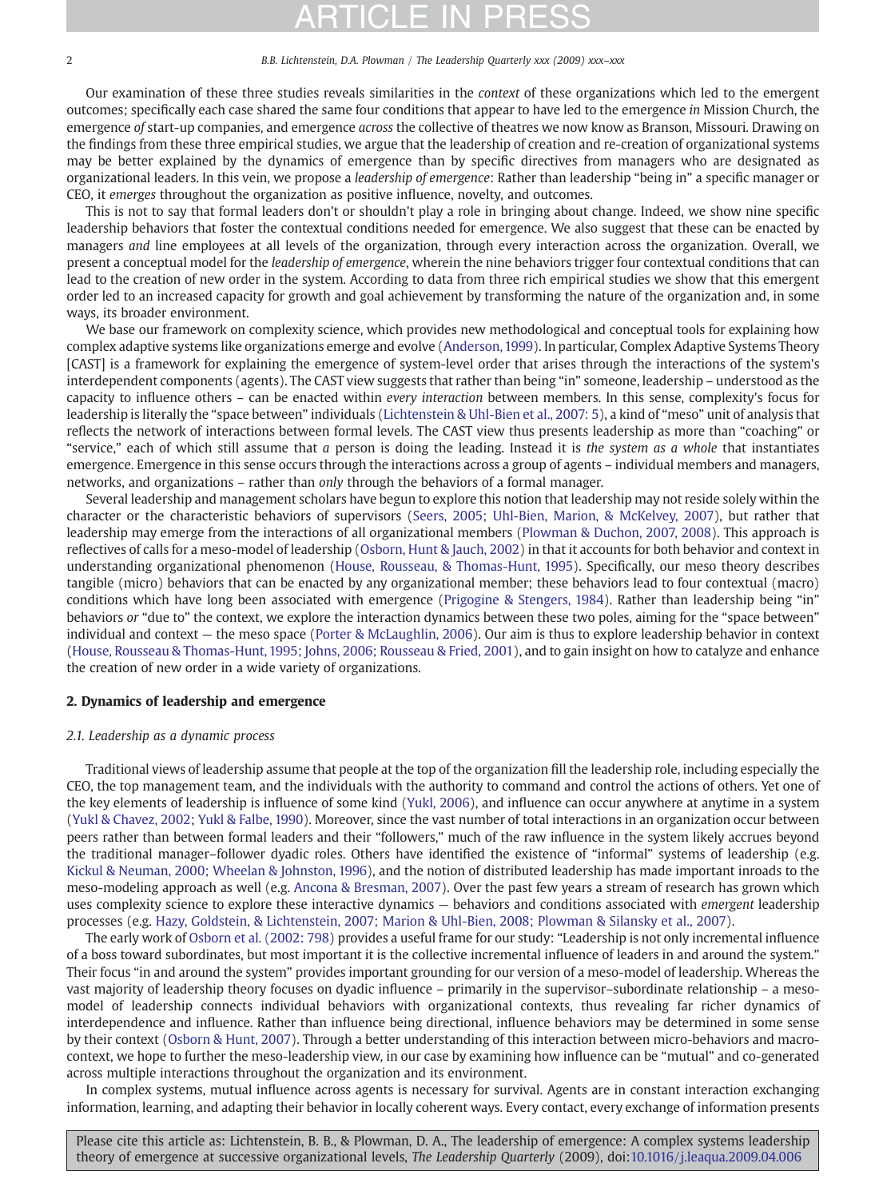#### 2 B.B. Lichtenstein, D.A. Plowman / The Leadership Quarterly xxx (2009) xxx–xxx

Our examination of these three studies reveals similarities in the context of these organizations which led to the emergent outcomes; specifically each case shared the same four conditions that appear to have led to the emergence in Mission Church, the emergence of start-up companies, and emergence across the collective of theatres we now know as Branson, Missouri. Drawing on the findings from these three empirical studies, we argue that the leadership of creation and re-creation of organizational systems may be better explained by the dynamics of emergence than by specific directives from managers who are designated as organizational leaders. In this vein, we propose a leadership of emergence: Rather than leadership "being in" a specific manager or CEO, it emerges throughout the organization as positive influence, novelty, and outcomes.

This is not to say that formal leaders don't or shouldn't play a role in bringing about change. Indeed, we show nine specific leadership behaviors that foster the contextual conditions needed for emergence. We also suggest that these can be enacted by managers and line employees at all levels of the organization, through every interaction across the organization. Overall, we present a conceptual model for the leadership of emergence, wherein the nine behaviors trigger four contextual conditions that can lead to the creation of new order in the system. According to data from three rich empirical studies we show that this emergent order led to an increased capacity for growth and goal achievement by transforming the nature of the organization and, in some ways, its broader environment.

We base our framework on complexity science, which provides new methodological and conceptual tools for explaining how complex adaptive systems like organizations emerge and evolve ([Anderson, 1999](#page-13-0)). In particular, Complex Adaptive Systems Theory [CAST] is a framework for explaining the emergence of system-level order that arises through the interactions of the system's interdependent components (agents). The CAST view suggests that rather than being "in" someone, leadership – understood as the capacity to influence others – can be enacted within every interaction between members. In this sense, complexity's focus for leadership is literally the "space between" individuals [\(Lichtenstein & Uhl-Bien et al., 2007: 5\)](#page-13-0), a kind of "meso" unit of analysis that reflects the network of interactions between formal levels. The CAST view thus presents leadership as more than "coaching" or "service," each of which still assume that a person is doing the leading. Instead it is the system as a whole that instantiates emergence. Emergence in this sense occurs through the interactions across a group of agents – individual members and managers, networks, and organizations – rather than only through the behaviors of a formal manager.

Several leadership and management scholars have begun to explore this notion that leadership may not reside solely within the character or the characteristic behaviors of supervisors ([Seers, 2005; Uhl-Bien, Marion, & McKelvey, 2007](#page-14-0)), but rather that leadership may emerge from the interactions of all organizational members [\(Plowman & Duchon, 2007, 2008\)](#page-13-0). This approach is reflectives of calls for a meso-model of leadership [\(Osborn, Hunt & Jauch, 2002\)](#page-13-0) in that it accounts for both behavior and context in understanding organizational phenomenon ([House, Rousseau, & Thomas-Hunt, 1995\)](#page-13-0). Specifically, our meso theory describes tangible (micro) behaviors that can be enacted by any organizational member; these behaviors lead to four contextual (macro) conditions which have long been associated with emergence ([Prigogine & Stengers, 1984\)](#page-14-0). Rather than leadership being "in" behaviors or "due to" the context, we explore the interaction dynamics between these two poles, aiming for the "space between" individual and context — the meso space [\(Porter & McLaughlin, 2006\)](#page-14-0). Our aim is thus to explore leadership behavior in context ([House, Rousseau & Thomas-Hunt, 1995; Johns, 2006; Rousseau & Fried, 2001\)](#page-13-0), and to gain insight on how to catalyze and enhance the creation of new order in a wide variety of organizations.

#### 2. Dynamics of leadership and emergence

#### 2.1. Leadership as a dynamic process

Traditional views of leadership assume that people at the top of the organization fill the leadership role, including especially the CEO, the top management team, and the individuals with the authority to command and control the actions of others. Yet one of the key elements of leadership is influence of some kind [\(Yukl, 2006\)](#page-14-0), and influence can occur anywhere at anytime in a system ([Yukl & Chavez, 2002](#page-14-0); [Yukl & Falbe, 1990\)](#page-14-0). Moreover, since the vast number of total interactions in an organization occur between peers rather than between formal leaders and their "followers," much of the raw influence in the system likely accrues beyond the traditional manager–follower dyadic roles. Others have identified the existence of "informal" systems of leadership (e.g. [Kickul & Neuman, 2000; Wheelan & Johnston, 1996](#page-13-0)), and the notion of distributed leadership has made important inroads to the meso-modeling approach as well (e.g. [Ancona & Bresman, 2007](#page-13-0)). Over the past few years a stream of research has grown which uses complexity science to explore these interactive dynamics - behaviors and conditions associated with emergent leadership processes (e.g. [Hazy, Goldstein, & Lichtenstein, 2007; Marion & Uhl-Bien, 2008; Plowman & Silansky et al., 2007\)](#page-13-0).

The early work of [Osborn et al. \(2002: 798\)](#page-13-0) provides a useful frame for our study: "Leadership is not only incremental influence of a boss toward subordinates, but most important it is the collective incremental influence of leaders in and around the system." Their focus "in and around the system" provides important grounding for our version of a meso-model of leadership. Whereas the vast majority of leadership theory focuses on dyadic influence – primarily in the supervisor–subordinate relationship – a mesomodel of leadership connects individual behaviors with organizational contexts, thus revealing far richer dynamics of interdependence and influence. Rather than influence being directional, influence behaviors may be determined in some sense by their context [\(Osborn & Hunt, 2007](#page-13-0)). Through a better understanding of this interaction between micro-behaviors and macrocontext, we hope to further the meso-leadership view, in our case by examining how influence can be "mutual" and co-generated across multiple interactions throughout the organization and its environment.

In complex systems, mutual influence across agents is necessary for survival. Agents are in constant interaction exchanging information, learning, and adapting their behavior in locally coherent ways. Every contact, every exchange of information presents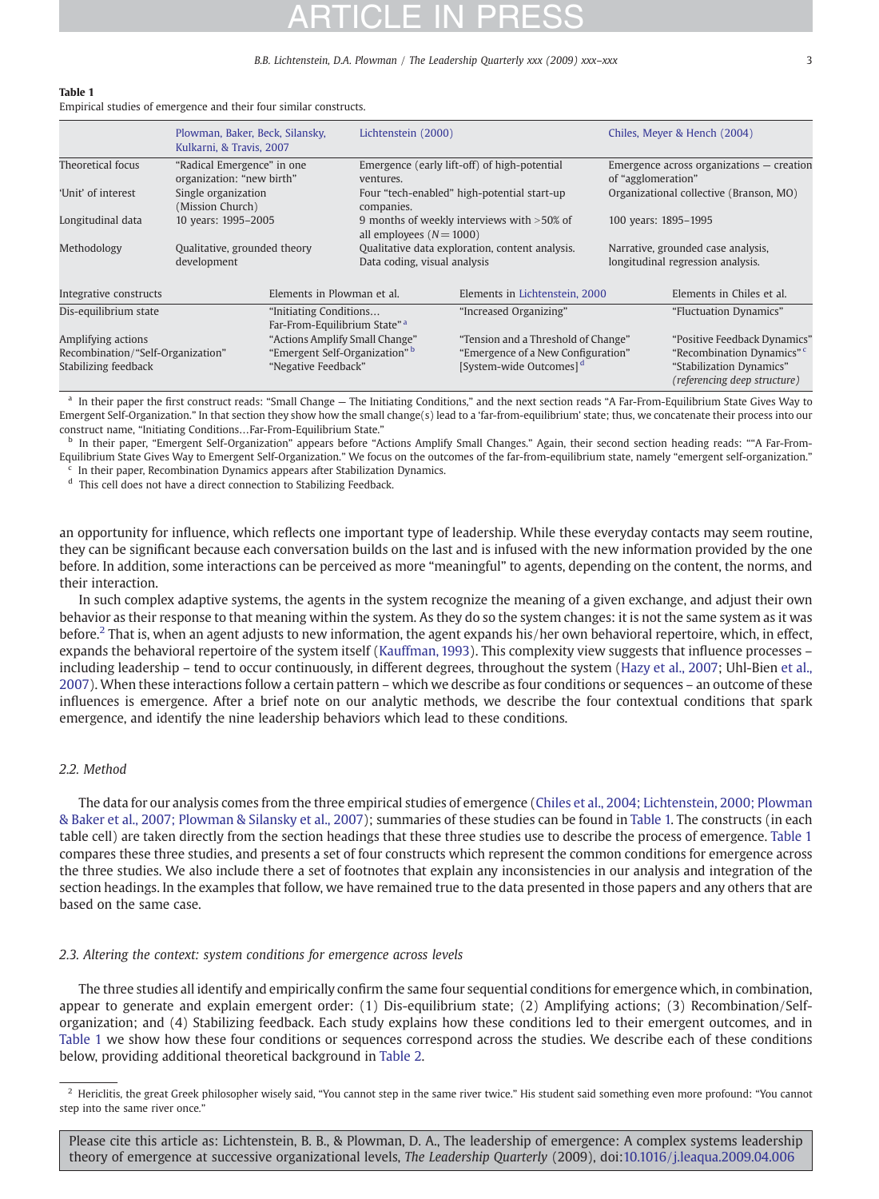#### B.B. Lichtenstein, D.A. Plowman / The Leadership Quarterly xxx (2009) xxx–xxx 3 3 3

#### Table 1

Empirical studies of emergence and their four similar constructs.

|                                                                                 | Plowman, Baker, Beck, Silansky,<br>Kulkarni, & Travis, 2007 |                                                                                         | Lichtenstein (2000)                                                             |                                                                                                                  | Chiles, Meyer & Hench (2004)                                            |                                                                                                                                   |
|---------------------------------------------------------------------------------|-------------------------------------------------------------|-----------------------------------------------------------------------------------------|---------------------------------------------------------------------------------|------------------------------------------------------------------------------------------------------------------|-------------------------------------------------------------------------|-----------------------------------------------------------------------------------------------------------------------------------|
| Theoretical focus                                                               | "Radical Emergence" in one<br>organization: "new birth"     |                                                                                         | Emergence (early lift-off) of high-potential<br>ventures.                       |                                                                                                                  | Emergence across organizations - creation<br>of "agglomeration"         |                                                                                                                                   |
| 'Unit' of interest                                                              | Single organization<br>(Mission Church)                     |                                                                                         | Four "tech-enabled" high-potential start-up<br>companies.                       |                                                                                                                  | Organizational collective (Branson, MO)                                 |                                                                                                                                   |
| Longitudinal data                                                               | 10 years: 1995-2005                                         |                                                                                         | 9 months of weekly interviews with >50% of<br>all employees $(N = 1000)$        |                                                                                                                  | 100 years: 1895–1995                                                    |                                                                                                                                   |
| Methodology                                                                     | Qualitative, grounded theory<br>development                 |                                                                                         | Qualitative data exploration, content analysis.<br>Data coding, visual analysis |                                                                                                                  | Narrative, grounded case analysis,<br>longitudinal regression analysis. |                                                                                                                                   |
| Integrative constructs                                                          |                                                             | Elements in Plowman et al.                                                              |                                                                                 | Elements in Lichtenstein, 2000                                                                                   |                                                                         | Elements in Chiles et al.                                                                                                         |
| Dis-equilibrium state                                                           |                                                             | "Initiating Conditions<br>Far-From-Equilibrium State" a                                 |                                                                                 | "Increased Organizing"                                                                                           |                                                                         | "Fluctuation Dynamics"                                                                                                            |
| Amplifying actions<br>Recombination/"Self-Organization"<br>Stabilizing feedback |                                                             | "Actions Amplify Small Change"<br>"Emergent Self-Organization" b<br>"Negative Feedback" |                                                                                 | "Tension and a Threshold of Change"<br>"Emergence of a New Configuration"<br>[System-wide Outcomes] <sup>d</sup> |                                                                         | "Positive Feedback Dynamics"<br>"Recombination Dynamics" <sup>c</sup><br>"Stabilization Dynamics"<br>(referencing deep structure) |

<sup>a</sup> In their paper the first construct reads: "Small Change – The Initiating Conditions," and the next section reads "A Far-From-Equilibrium State Gives Way to Emergent Self-Organization." In that section they show how the small change(s) lead to a 'far-from-equilibrium' state; thus, we concatenate their process into our construct name, "Initiating Conditions…Far-From-Equilibrium State."

In their paper, "Emergent Self-Organization" appears before "Actions Amplify Small Changes." Again, their second section heading reads: ""A Far-From-Equilibrium State Gives Way to Emergent Self-Organization." We focus on the outcomes of the far-from-equilibrium state, namely "emergent self-organization." In their paper, Recombination Dynamics appears after Stabilization Dynamics.

<sup>d</sup> This cell does not have a direct connection to Stabilizing Feedback.

an opportunity for influence, which reflects one important type of leadership. While these everyday contacts may seem routine, they can be significant because each conversation builds on the last and is infused with the new information provided by the one before. In addition, some interactions can be perceived as more "meaningful" to agents, depending on the content, the norms, and their interaction.

In such complex adaptive systems, the agents in the system recognize the meaning of a given exchange, and adjust their own behavior as their response to that meaning within the system. As they do so the system changes: it is not the same system as it was before.<sup>2</sup> That is, when an agent adjusts to new information, the agent expands his/her own behavioral repertoire, which, in effect, expands the behavioral repertoire of the system itself ([Kauffman, 1993\)](#page-13-0). This complexity view suggests that influence processes – including leadership – tend to occur continuously, in different degrees, throughout the system ([Hazy et al., 2007;](#page-13-0) Uhl-Bien [et al.,](#page-14-0) [2007](#page-14-0)). When these interactions follow a certain pattern – which we describe as four conditions or sequences – an outcome of these influences is emergence. After a brief note on our analytic methods, we describe the four contextual conditions that spark emergence, and identify the nine leadership behaviors which lead to these conditions.

#### 2.2. Method

The data for our analysis comes from the three empirical studies of emergence ([Chiles et al., 2004; Lichtenstein, 2000; Plowman](#page-13-0) [& Baker et al., 2007; Plowman & Silansky et al., 2007](#page-13-0)); summaries of these studies can be found in Table 1. The constructs (in each table cell) are taken directly from the section headings that these three studies use to describe the process of emergence. Table 1 compares these three studies, and presents a set of four constructs which represent the common conditions for emergence across the three studies. We also include there a set of footnotes that explain any inconsistencies in our analysis and integration of the section headings. In the examples that follow, we have remained true to the data presented in those papers and any others that are based on the same case.

#### 2.3. Altering the context: system conditions for emergence across levels

The three studies all identify and empirically confirm the same four sequential conditions for emergence which, in combination, appear to generate and explain emergent order: (1) Dis-equilibrium state; (2) Amplifying actions; (3) Recombination/Selforganization; and (4) Stabilizing feedback. Each study explains how these conditions led to their emergent outcomes, and in Table 1 we show how these four conditions or sequences correspond across the studies. We describe each of these conditions below, providing additional theoretical background in [Table 2](#page-4-0).

<sup>&</sup>lt;sup>2</sup> Hericlitis, the great Greek philosopher wisely said, "You cannot step in the same river twice." His student said something even more profound: "You cannot step into the same river once."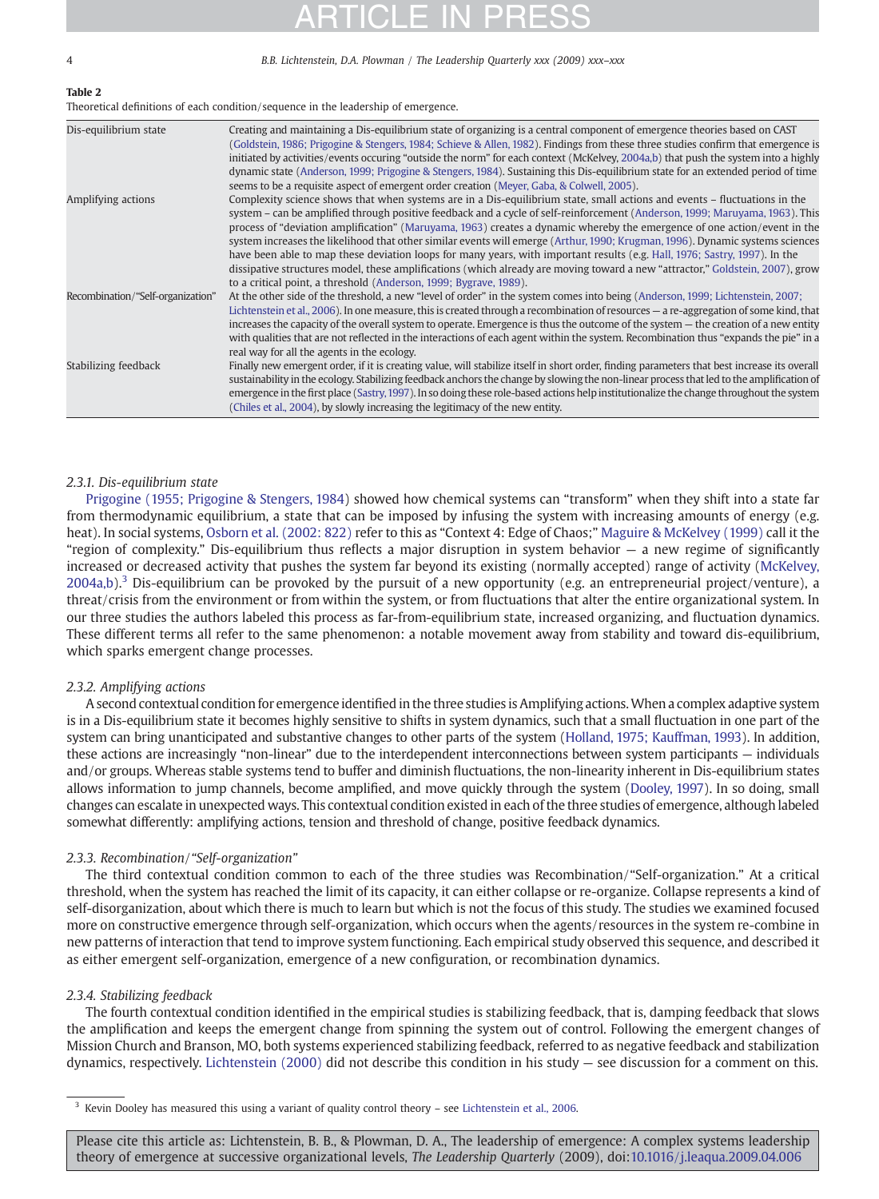#### <span id="page-4-0"></span>4 B.B. Lichtenstein, D.A. Plowman / The Leadership Quarterly xxx (2009) xxx–xxx

#### Table 2

Theoretical definitions of each condition/sequence in the leadership of emergence.

| Dis-equilibrium state             | Creating and maintaining a Dis-equilibrium state of organizing is a central component of emergence theories based on CAST<br>(Goldstein, 1986; Prigogine & Stengers, 1984; Schieve & Allen, 1982). Findings from these three studies confirm that emergence is<br>initiated by activities/events occuring "outside the norm" for each context (McKelvey, 2004a,b) that push the system into a highly<br>dynamic state (Anderson, 1999; Prigogine & Stengers, 1984). Sustaining this Dis-equilibrium state for an extended period of time<br>seems to be a requisite aspect of emergent order creation (Meyer, Gaba, & Colwell, 2005).                                                                                                                                                                                                                      |
|-----------------------------------|------------------------------------------------------------------------------------------------------------------------------------------------------------------------------------------------------------------------------------------------------------------------------------------------------------------------------------------------------------------------------------------------------------------------------------------------------------------------------------------------------------------------------------------------------------------------------------------------------------------------------------------------------------------------------------------------------------------------------------------------------------------------------------------------------------------------------------------------------------|
| Amplifying actions                | Complexity science shows that when systems are in a Dis-equilibrium state, small actions and events – fluctuations in the<br>system – can be amplified through positive feedback and a cycle of self-reinforcement (Anderson, 1999; Maruyama, 1963). This<br>process of "deviation amplification" (Maruyama, 1963) creates a dynamic whereby the emergence of one action/event in the<br>system increases the likelihood that other similar events will emerge (Arthur, 1990; Krugman, 1996). Dynamic systems sciences<br>have been able to map these deviation loops for many years, with important results (e.g. Hall, 1976; Sastry, 1997). In the<br>dissipative structures model, these amplifications (which already are moving toward a new "attractor," Goldstein, 2007), grow<br>to a critical point, a threshold (Anderson, 1999; Bygrave, 1989). |
| Recombination/"Self-organization" | At the other side of the threshold, a new "level of order" in the system comes into being (Anderson, 1999; Lichtenstein, 2007;<br>Lichtenstein et al., 2006). In one measure, this is created through a recombination of resources — a re-aggregation of some kind, that<br>increases the capacity of the overall system to operate. Emergence is thus the outcome of the system — the creation of a new entity<br>with qualities that are not reflected in the interactions of each agent within the system. Recombination thus "expands the pie" in a<br>real way for all the agents in the ecology.                                                                                                                                                                                                                                                     |
| Stabilizing feedback              | Finally new emergent order, if it is creating value, will stabilize itself in short order, finding parameters that best increase its overall<br>sustainability in the ecology. Stabilizing feedback anchors the change by slowing the non-linear process that led to the amplification of<br>emergence in the first place (Sastry, 1997). In so doing these role-based actions help institutionalize the change throughout the system<br>(Chiles et al., 2004), by slowly increasing the legitimacy of the new entity.                                                                                                                                                                                                                                                                                                                                     |

#### 2.3.1. Dis-equilibrium state

[Prigogine \(1955; Prigogine & Stengers, 1984](#page-14-0)) showed how chemical systems can "transform" when they shift into a state far from thermodynamic equilibrium, a state that can be imposed by infusing the system with increasing amounts of energy (e.g. heat). In social systems, [Osborn et al. \(2002: 822\)](#page-13-0) refer to this as "Context 4: Edge of Chaos;" [Maguire & McKelvey \(1999\)](#page-13-0) call it the "region of complexity." Dis-equilibrium thus reflects a major disruption in system behavior — a new regime of significantly increased or decreased activity that pushes the system far beyond its existing (normally accepted) range of activity ([McKelvey,](#page-13-0)  $2004a,b$ .<sup>3</sup> Dis-equilibrium can be provoked by the pursuit of a new opportunity (e.g. an entrepreneurial project/venture), a threat/crisis from the environment or from within the system, or from fluctuations that alter the entire organizational system. In our three studies the authors labeled this process as far-from-equilibrium state, increased organizing, and fluctuation dynamics. These different terms all refer to the same phenomenon: a notable movement away from stability and toward dis-equilibrium, which sparks emergent change processes.

#### 2.3.2. Amplifying actions

A second contextual condition for emergence identified in the three studies is Amplifying actions.When a complex adaptive system is in a Dis-equilibrium state it becomes highly sensitive to shifts in system dynamics, such that a small fluctuation in one part of the system can bring unanticipated and substantive changes to other parts of the system [\(Holland, 1975; Kauffman, 1993](#page-13-0)). In addition, these actions are increasingly "non-linear" due to the interdependent interconnections between system participants — individuals and/or groups. Whereas stable systems tend to buffer and diminish fluctuations, the non-linearity inherent in Dis-equilibrium states allows information to jump channels, become amplified, and move quickly through the system [\(Dooley, 1997\)](#page-13-0). In so doing, small changes can escalate in unexpected ways. This contextual condition existed in each of the three studies of emergence, although labeled somewhat differently: amplifying actions, tension and threshold of change, positive feedback dynamics.

#### 2.3.3. Recombination/"Self-organization"

The third contextual condition common to each of the three studies was Recombination/"Self-organization." At a critical threshold, when the system has reached the limit of its capacity, it can either collapse or re-organize. Collapse represents a kind of self-disorganization, about which there is much to learn but which is not the focus of this study. The studies we examined focused more on constructive emergence through self-organization, which occurs when the agents/resources in the system re-combine in new patterns of interaction that tend to improve system functioning. Each empirical study observed this sequence, and described it as either emergent self-organization, emergence of a new configuration, or recombination dynamics.

#### 2.3.4. Stabilizing feedback

The fourth contextual condition identified in the empirical studies is stabilizing feedback, that is, damping feedback that slows the amplification and keeps the emergent change from spinning the system out of control. Following the emergent changes of Mission Church and Branson, MO, both systems experienced stabilizing feedback, referred to as negative feedback and stabilization dynamics, respectively. [Lichtenstein \(2000\)](#page-13-0) did not describe this condition in his study — see discussion for a comment on this.

 $3$  Kevin Dooley has measured this using a variant of quality control theory – see [Lichtenstein et al., 2006.](#page-13-0)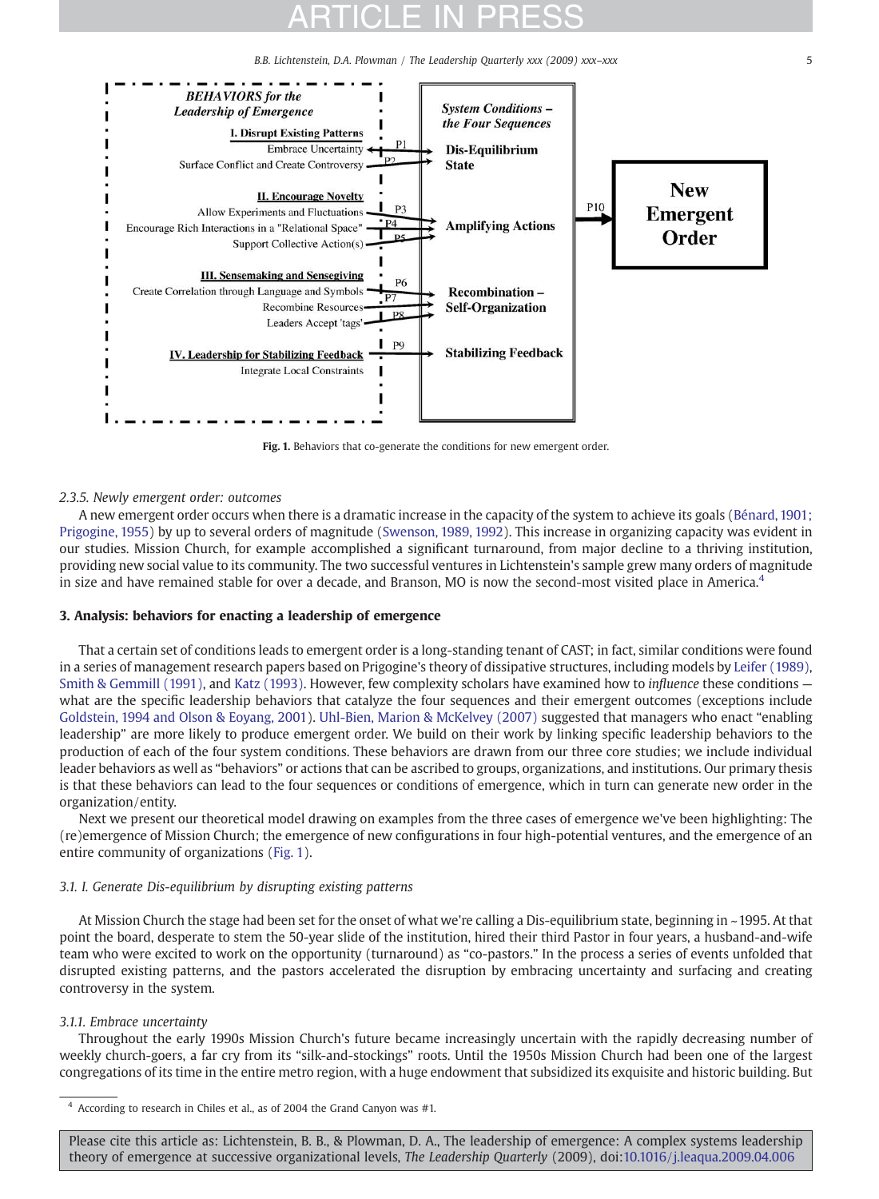B.B. Lichtenstein, D.A. Plowman / The Leadership Quarterly xxx (2009) xxx-xxx



Fig. 1. Behaviors that co-generate the conditions for new emergent order.

#### 2.3.5. Newly emergent order: outcomes

A new emergent order occurs when there is a dramatic increase in the capacity of the system to achieve its goals [\(Bénard, 1901;](#page-13-0) [Prigogine, 1955](#page-13-0)) by up to several orders of magnitude ([Swenson, 1989, 1992\)](#page-14-0). This increase in organizing capacity was evident in our studies. Mission Church, for example accomplished a significant turnaround, from major decline to a thriving institution, providing new social value to its community. The two successful ventures in Lichtenstein's sample grew many orders of magnitude in size and have remained stable for over a decade, and Branson, MO is now the second-most visited place in America.<sup>4</sup>

#### 3. Analysis: behaviors for enacting a leadership of emergence

That a certain set of conditions leads to emergent order is a long-standing tenant of CAST; in fact, similar conditions were found in a series of management research papers based on Prigogine's theory of dissipative structures, including models by [Leifer \(1989\)](#page-13-0), [Smith & Gemmill \(1991\),](#page-14-0) and [Katz \(1993\).](#page-13-0) However, few complexity scholars have examined how to influence these conditions what are the specific leadership behaviors that catalyze the four sequences and their emergent outcomes (exceptions include [Goldstein, 1994 and Olson & Eoyang, 2001](#page-13-0)). [Uhl-Bien, Marion & McKelvey \(2007\)](#page-14-0) suggested that managers who enact "enabling leadership" are more likely to produce emergent order. We build on their work by linking specific leadership behaviors to the production of each of the four system conditions. These behaviors are drawn from our three core studies; we include individual leader behaviors as well as "behaviors" or actions that can be ascribed to groups, organizations, and institutions. Our primary thesis is that these behaviors can lead to the four sequences or conditions of emergence, which in turn can generate new order in the organization/entity.

Next we present our theoretical model drawing on examples from the three cases of emergence we've been highlighting: The (re)emergence of Mission Church; the emergence of new configurations in four high-potential ventures, and the emergence of an entire community of organizations (Fig. 1).

#### 3.1. I. Generate Dis-equilibrium by disrupting existing patterns

At Mission Church the stage had been set for the onset of what we're calling a Dis-equilibrium state, beginning in ~1995. At that point the board, desperate to stem the 50-year slide of the institution, hired their third Pastor in four years, a husband-and-wife team who were excited to work on the opportunity (turnaround) as "co-pastors." In the process a series of events unfolded that disrupted existing patterns, and the pastors accelerated the disruption by embracing uncertainty and surfacing and creating controversy in the system.

#### 3.1.1. Embrace uncertainty

Throughout the early 1990s Mission Church's future became increasingly uncertain with the rapidly decreasing number of weekly church-goers, a far cry from its "silk-and-stockings" roots. Until the 1950s Mission Church had been one of the largest congregations of its time in the entire metro region, with a huge endowment that subsidized its exquisite and historic building. But

<sup>4</sup> According to research in Chiles et al., as of 2004 the Grand Canyon was #1.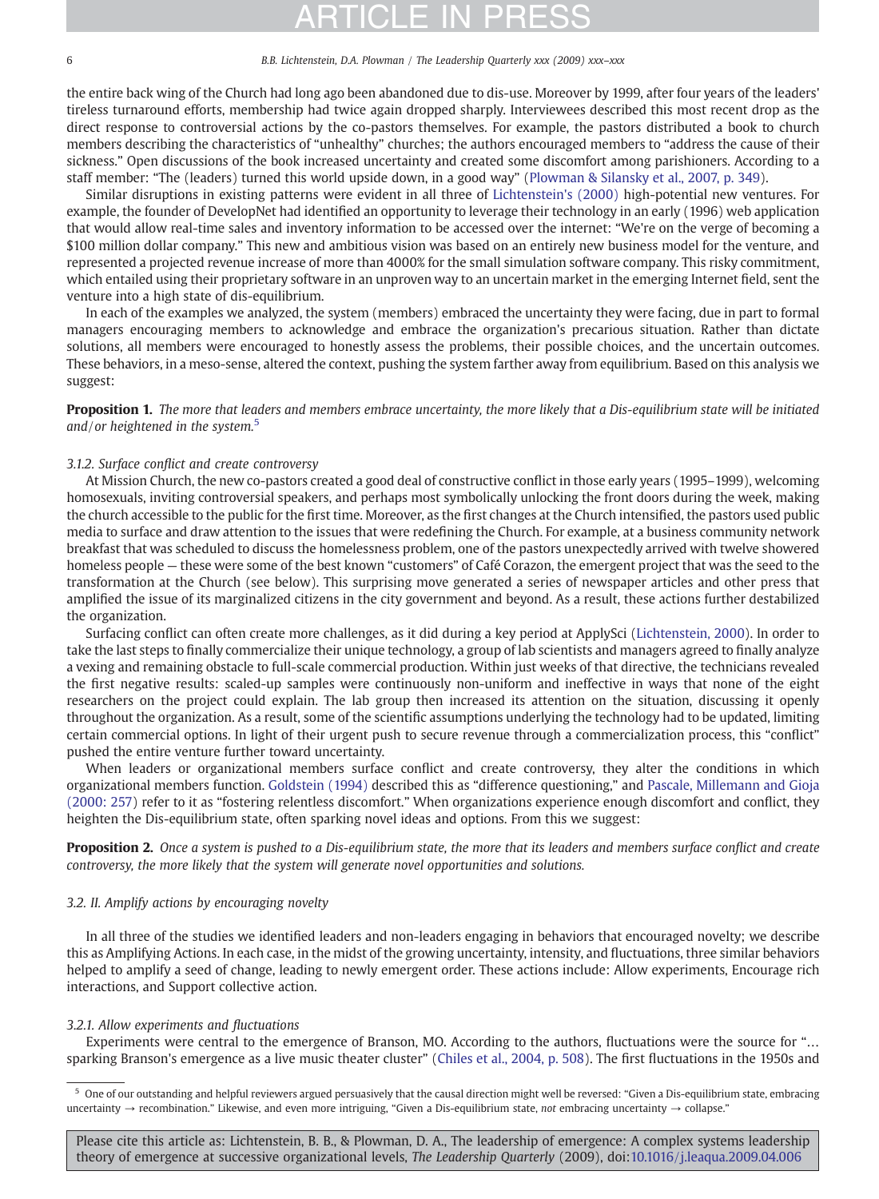## TCLE IN

#### 6 B.B. Lichtenstein, D.A. Plowman / The Leadership Quarterly xxx (2009) xxx–xxx

the entire back wing of the Church had long ago been abandoned due to dis-use. Moreover by 1999, after four years of the leaders' tireless turnaround efforts, membership had twice again dropped sharply. Interviewees described this most recent drop as the direct response to controversial actions by the co-pastors themselves. For example, the pastors distributed a book to church members describing the characteristics of "unhealthy" churches; the authors encouraged members to "address the cause of their sickness." Open discussions of the book increased uncertainty and created some discomfort among parishioners. According to a staff member: "The (leaders) turned this world upside down, in a good way" ([Plowman & Silansky et al., 2007, p. 349\)](#page-14-0).

Similar disruptions in existing patterns were evident in all three of [Lichtenstein's \(2000\)](#page-13-0) high-potential new ventures. For example, the founder of DevelopNet had identified an opportunity to leverage their technology in an early (1996) web application that would allow real-time sales and inventory information to be accessed over the internet: "We're on the verge of becoming a \$100 million dollar company." This new and ambitious vision was based on an entirely new business model for the venture, and represented a projected revenue increase of more than 4000% for the small simulation software company. This risky commitment, which entailed using their proprietary software in an unproven way to an uncertain market in the emerging Internet field, sent the venture into a high state of dis-equilibrium.

In each of the examples we analyzed, the system (members) embraced the uncertainty they were facing, due in part to formal managers encouraging members to acknowledge and embrace the organization's precarious situation. Rather than dictate solutions, all members were encouraged to honestly assess the problems, their possible choices, and the uncertain outcomes. These behaviors, in a meso-sense, altered the context, pushing the system farther away from equilibrium. Based on this analysis we suggest:

Proposition 1. The more that leaders and members embrace uncertainty, the more likely that a Dis-equilibrium state will be initiated and/or heightened in the system. $5$ 

### 3.1.2. Surface conflict and create controversy

At Mission Church, the new co-pastors created a good deal of constructive conflict in those early years (1995–1999), welcoming homosexuals, inviting controversial speakers, and perhaps most symbolically unlocking the front doors during the week, making the church accessible to the public for the first time. Moreover, as the first changes at the Church intensified, the pastors used public media to surface and draw attention to the issues that were redefining the Church. For example, at a business community network breakfast that was scheduled to discuss the homelessness problem, one of the pastors unexpectedly arrived with twelve showered homeless people — these were some of the best known "customers" of Café Corazon, the emergent project that was the seed to the transformation at the Church (see below). This surprising move generated a series of newspaper articles and other press that amplified the issue of its marginalized citizens in the city government and beyond. As a result, these actions further destabilized the organization.

Surfacing conflict can often create more challenges, as it did during a key period at ApplySci [\(Lichtenstein, 2000](#page-13-0)). In order to take the last steps to finally commercialize their unique technology, a group of lab scientists and managers agreed to finally analyze a vexing and remaining obstacle to full-scale commercial production. Within just weeks of that directive, the technicians revealed the first negative results: scaled-up samples were continuously non-uniform and ineffective in ways that none of the eight researchers on the project could explain. The lab group then increased its attention on the situation, discussing it openly throughout the organization. As a result, some of the scientific assumptions underlying the technology had to be updated, limiting certain commercial options. In light of their urgent push to secure revenue through a commercialization process, this "conflict" pushed the entire venture further toward uncertainty.

When leaders or organizational members surface conflict and create controversy, they alter the conditions in which organizational members function. [Goldstein \(1994\)](#page-13-0) described this as "difference questioning," and [Pascale, Millemann and Gioja](#page-13-0) [\(2000: 257\)](#page-13-0) refer to it as "fostering relentless discomfort." When organizations experience enough discomfort and conflict, they heighten the Dis-equilibrium state, often sparking novel ideas and options. From this we suggest:

Proposition 2. Once a system is pushed to a Dis-equilibrium state, the more that its leaders and members surface conflict and create controversy, the more likely that the system will generate novel opportunities and solutions.

### 3.2. II. Amplify actions by encouraging novelty

In all three of the studies we identified leaders and non-leaders engaging in behaviors that encouraged novelty; we describe this as Amplifying Actions. In each case, in the midst of the growing uncertainty, intensity, and fluctuations, three similar behaviors helped to amplify a seed of change, leading to newly emergent order. These actions include: Allow experiments, Encourage rich interactions, and Support collective action.

#### 3.2.1. Allow experiments and fluctuations

Experiments were central to the emergence of Branson, MO. According to the authors, fluctuations were the source for "… sparking Branson's emergence as a live music theater cluster" ([Chiles et al., 2004, p. 508\)](#page-13-0). The first fluctuations in the 1950s and

<sup>5</sup> One of our outstanding and helpful reviewers argued persuasively that the causal direction might well be reversed: "Given a Dis-equilibrium state, embracing uncertainty  $\rightarrow$  recombination." Likewise, and even more intriguing, "Given a Dis-equilibrium state, not embracing uncertainty  $\rightarrow$  collapse."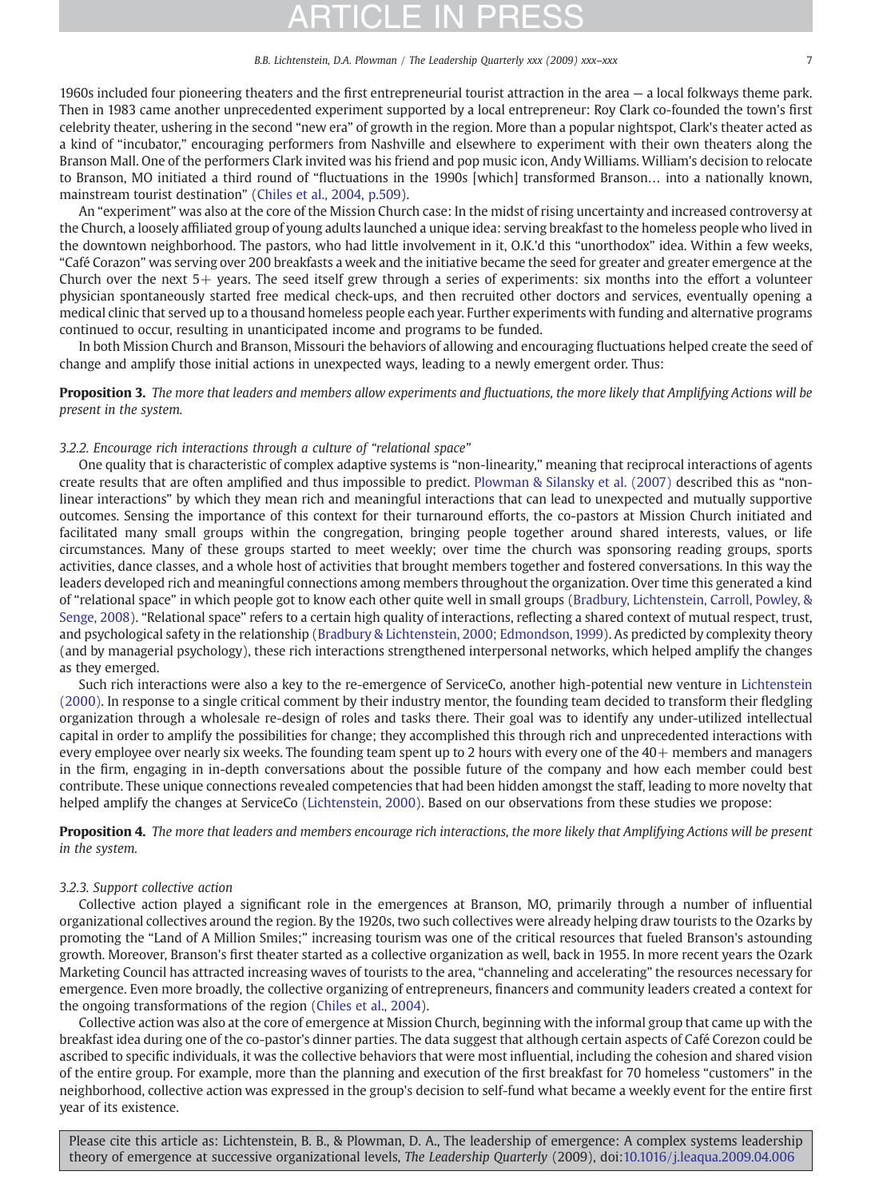#### B.B. Lichtenstein, D.A. Plowman / The Leadership Quarterly xxx (2009) xxx-xxx

1960s included four pioneering theaters and the first entrepreneurial tourist attraction in the area — a local folkways theme park. Then in 1983 came another unprecedented experiment supported by a local entrepreneur: Roy Clark co-founded the town's first celebrity theater, ushering in the second "new era" of growth in the region. More than a popular nightspot, Clark's theater acted as a kind of "incubator," encouraging performers from Nashville and elsewhere to experiment with their own theaters along the Branson Mall. One of the performers Clark invited was his friend and pop music icon, Andy Williams. William's decision to relocate to Branson, MO initiated a third round of "fluctuations in the 1990s [which] transformed Branson… into a nationally known, mainstream tourist destination" [\(Chiles et al., 2004, p.509](#page-13-0)).

An "experiment" was also at the core of the Mission Church case: In the midst of rising uncertainty and increased controversy at the Church, a loosely affiliated group of young adults launched a unique idea: serving breakfast to the homeless people who lived in the downtown neighborhood. The pastors, who had little involvement in it, O.K.'d this "unorthodox" idea. Within a few weeks, "Café Corazon" was serving over 200 breakfasts a week and the initiative became the seed for greater and greater emergence at the Church over the next  $5+$  years. The seed itself grew through a series of experiments: six months into the effort a volunteer physician spontaneously started free medical check-ups, and then recruited other doctors and services, eventually opening a medical clinic that served up to a thousand homeless people each year. Further experiments with funding and alternative programs continued to occur, resulting in unanticipated income and programs to be funded.

In both Mission Church and Branson, Missouri the behaviors of allowing and encouraging fluctuations helped create the seed of change and amplify those initial actions in unexpected ways, leading to a newly emergent order. Thus:

Proposition 3. The more that leaders and members allow experiments and fluctuations, the more likely that Amplifying Actions will be present in the system.

#### 3.2.2. Encourage rich interactions through a culture of "relational space"

One quality that is characteristic of complex adaptive systems is "non-linearity," meaning that reciprocal interactions of agents create results that are often amplified and thus impossible to predict. [Plowman & Silansky et al. \(2007\)](#page-14-0) described this as "nonlinear interactions" by which they mean rich and meaningful interactions that can lead to unexpected and mutually supportive outcomes. Sensing the importance of this context for their turnaround efforts, the co-pastors at Mission Church initiated and facilitated many small groups within the congregation, bringing people together around shared interests, values, or life circumstances. Many of these groups started to meet weekly; over time the church was sponsoring reading groups, sports activities, dance classes, and a whole host of activities that brought members together and fostered conversations. In this way the leaders developed rich and meaningful connections among members throughout the organization. Over time this generated a kind of "relational space" in which people got to know each other quite well in small groups [\(Bradbury, Lichtenstein, Carroll, Powley, &](#page-13-0) [Senge, 2008](#page-13-0)). "Relational space" refers to a certain high quality of interactions, reflecting a shared context of mutual respect, trust, and psychological safety in the relationship ([Bradbury & Lichtenstein, 2000; Edmondson, 1999](#page-13-0)). As predicted by complexity theory (and by managerial psychology), these rich interactions strengthened interpersonal networks, which helped amplify the changes as they emerged.

Such rich interactions were also a key to the re-emergence of ServiceCo, another high-potential new venture in [Lichtenstein](#page-13-0) [\(2000\).](#page-13-0) In response to a single critical comment by their industry mentor, the founding team decided to transform their fledgling organization through a wholesale re-design of roles and tasks there. Their goal was to identify any under-utilized intellectual capital in order to amplify the possibilities for change; they accomplished this through rich and unprecedented interactions with every employee over nearly six weeks. The founding team spent up to 2 hours with every one of the 40+ members and managers in the firm, engaging in in-depth conversations about the possible future of the company and how each member could best contribute. These unique connections revealed competencies that had been hidden amongst the staff, leading to more novelty that helped amplify the changes at ServiceCo [\(Lichtenstein, 2000](#page-13-0)). Based on our observations from these studies we propose:

Proposition 4. The more that leaders and members encourage rich interactions, the more likely that Amplifying Actions will be present in the system.

#### 3.2.3. Support collective action

Collective action played a significant role in the emergences at Branson, MO, primarily through a number of influential organizational collectives around the region. By the 1920s, two such collectives were already helping draw tourists to the Ozarks by promoting the "Land of A Million Smiles;" increasing tourism was one of the critical resources that fueled Branson's astounding growth. Moreover, Branson's first theater started as a collective organization as well, back in 1955. In more recent years the Ozark Marketing Council has attracted increasing waves of tourists to the area, "channeling and accelerating" the resources necessary for emergence. Even more broadly, the collective organizing of entrepreneurs, financers and community leaders created a context for the ongoing transformations of the region [\(Chiles et al., 2004\)](#page-13-0).

Collective action was also at the core of emergence at Mission Church, beginning with the informal group that came up with the breakfast idea during one of the co-pastor's dinner parties. The data suggest that although certain aspects of Café Corezon could be ascribed to specific individuals, it was the collective behaviors that were most influential, including the cohesion and shared vision of the entire group. For example, more than the planning and execution of the first breakfast for 70 homeless "customers" in the neighborhood, collective action was expressed in the group's decision to self-fund what became a weekly event for the entire first year of its existence.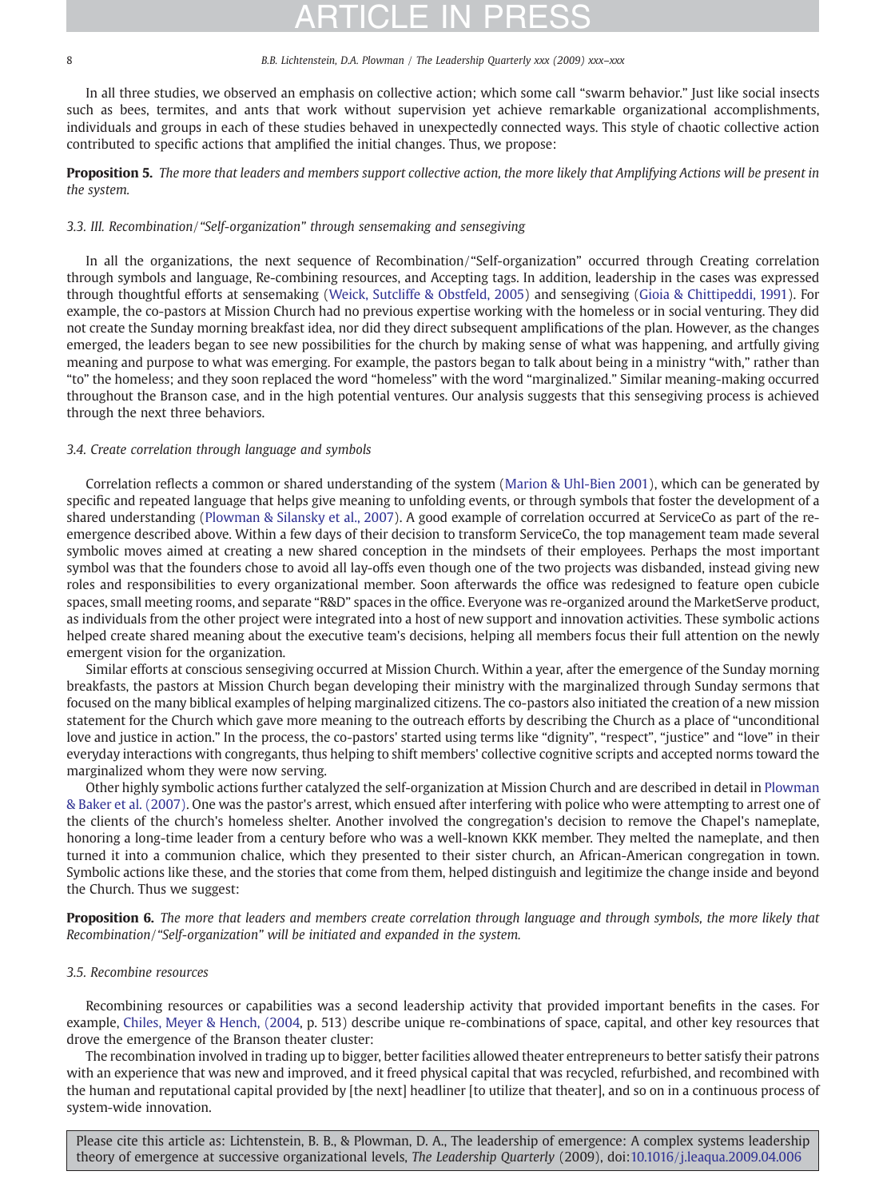#### 8 B.B. Lichtenstein, D.A. Plowman / The Leadership Quarterly xxx (2009) xxx–xxx

In all three studies, we observed an emphasis on collective action; which some call "swarm behavior." Just like social insects such as bees, termites, and ants that work without supervision yet achieve remarkable organizational accomplishments, individuals and groups in each of these studies behaved in unexpectedly connected ways. This style of chaotic collective action contributed to specific actions that amplified the initial changes. Thus, we propose:

Proposition 5. The more that leaders and members support collective action, the more likely that Amplifying Actions will be present in the system.

#### 3.3. III. Recombination/"Self-organization" through sensemaking and sensegiving

In all the organizations, the next sequence of Recombination/"Self-organization" occurred through Creating correlation through symbols and language, Re-combining resources, and Accepting tags. In addition, leadership in the cases was expressed through thoughtful efforts at sensemaking ([Weick, Sutcliffe & Obstfeld, 2005\)](#page-14-0) and sensegiving ([Gioia & Chittipeddi, 1991\)](#page-13-0). For example, the co-pastors at Mission Church had no previous expertise working with the homeless or in social venturing. They did not create the Sunday morning breakfast idea, nor did they direct subsequent amplifications of the plan. However, as the changes emerged, the leaders began to see new possibilities for the church by making sense of what was happening, and artfully giving meaning and purpose to what was emerging. For example, the pastors began to talk about being in a ministry "with," rather than "to" the homeless; and they soon replaced the word "homeless" with the word "marginalized." Similar meaning-making occurred throughout the Branson case, and in the high potential ventures. Our analysis suggests that this sensegiving process is achieved through the next three behaviors.

#### 3.4. Create correlation through language and symbols

Correlation reflects a common or shared understanding of the system ([Marion & Uhl-Bien 2001\)](#page-13-0), which can be generated by specific and repeated language that helps give meaning to unfolding events, or through symbols that foster the development of a shared understanding [\(Plowman & Silansky et al., 2007\)](#page-14-0). A good example of correlation occurred at ServiceCo as part of the reemergence described above. Within a few days of their decision to transform ServiceCo, the top management team made several symbolic moves aimed at creating a new shared conception in the mindsets of their employees. Perhaps the most important symbol was that the founders chose to avoid all lay-offs even though one of the two projects was disbanded, instead giving new roles and responsibilities to every organizational member. Soon afterwards the office was redesigned to feature open cubicle spaces, small meeting rooms, and separate "R&D" spaces in the office. Everyone was re-organized around the MarketServe product, as individuals from the other project were integrated into a host of new support and innovation activities. These symbolic actions helped create shared meaning about the executive team's decisions, helping all members focus their full attention on the newly emergent vision for the organization.

Similar efforts at conscious sensegiving occurred at Mission Church. Within a year, after the emergence of the Sunday morning breakfasts, the pastors at Mission Church began developing their ministry with the marginalized through Sunday sermons that focused on the many biblical examples of helping marginalized citizens. The co-pastors also initiated the creation of a new mission statement for the Church which gave more meaning to the outreach efforts by describing the Church as a place of "unconditional love and justice in action." In the process, the co-pastors' started using terms like "dignity", "respect", "justice" and "love" in their everyday interactions with congregants, thus helping to shift members' collective cognitive scripts and accepted norms toward the marginalized whom they were now serving.

Other highly symbolic actions further catalyzed the self-organization at Mission Church and are described in detail in [Plowman](#page-14-0) [& Baker et al. \(2007\)](#page-14-0). One was the pastor's arrest, which ensued after interfering with police who were attempting to arrest one of the clients of the church's homeless shelter. Another involved the congregation's decision to remove the Chapel's nameplate, honoring a long-time leader from a century before who was a well-known KKK member. They melted the nameplate, and then turned it into a communion chalice, which they presented to their sister church, an African-American congregation in town. Symbolic actions like these, and the stories that come from them, helped distinguish and legitimize the change inside and beyond the Church. Thus we suggest:

**Proposition 6.** The more that leaders and members create correlation through language and through symbols, the more likely that Recombination/"Self-organization" will be initiated and expanded in the system.

### 3.5. Recombine resources

Recombining resources or capabilities was a second leadership activity that provided important benefits in the cases. For example, [Chiles, Meyer & Hench, \(2004,](#page-13-0) p. 513) describe unique re-combinations of space, capital, and other key resources that drove the emergence of the Branson theater cluster:

The recombination involved in trading up to bigger, better facilities allowed theater entrepreneurs to better satisfy their patrons with an experience that was new and improved, and it freed physical capital that was recycled, refurbished, and recombined with the human and reputational capital provided by [the next] headliner [to utilize that theater], and so on in a continuous process of system-wide innovation.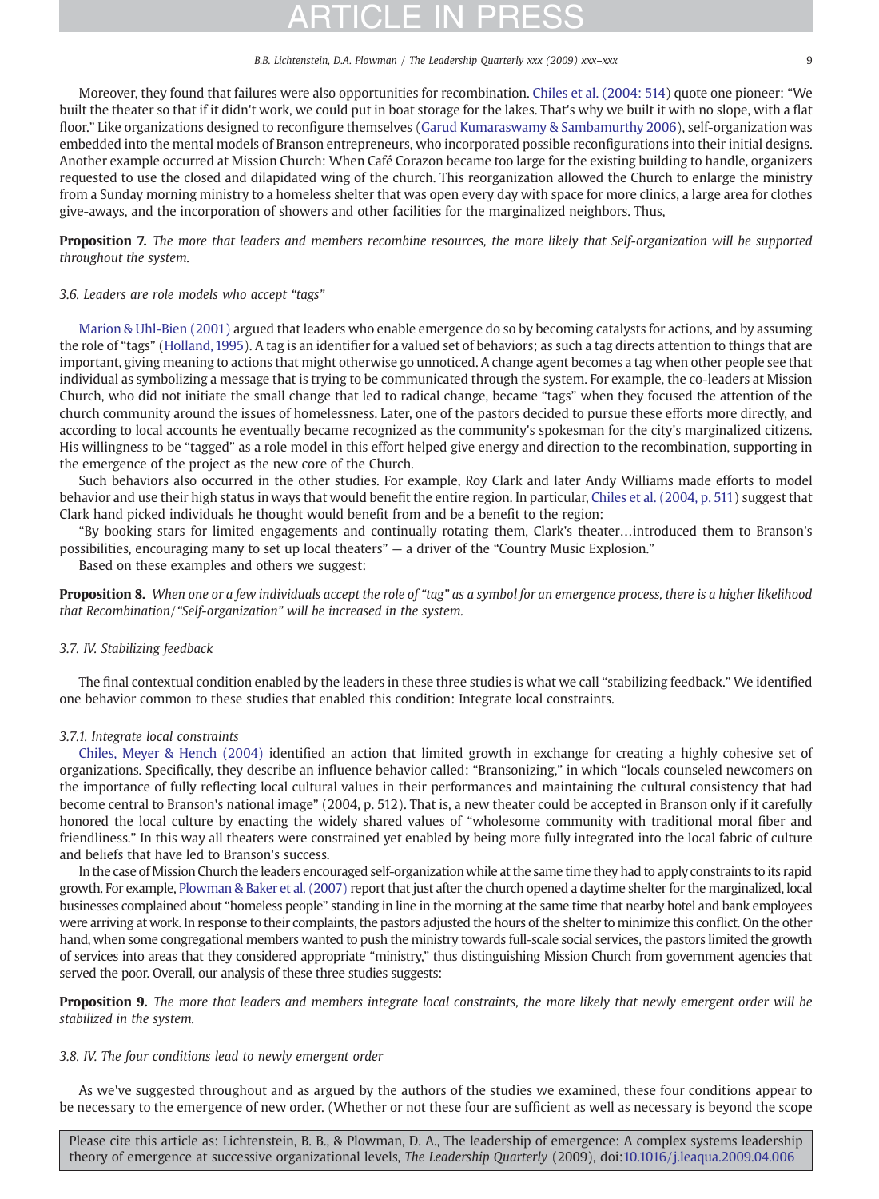### F IN

#### B.B. Lichtenstein, D.A. Plowman / The Leadership Quarterly xxx (2009) xxx-xxx

Moreover, they found that failures were also opportunities for recombination. [Chiles et al. \(2004: 514](#page-13-0)) quote one pioneer: "We built the theater so that if it didn't work, we could put in boat storage for the lakes. That's why we built it with no slope, with a flat floor." Like organizations designed to reconfigure themselves ([Garud Kumaraswamy & Sambamurthy 2006\)](#page-13-0), self-organization was embedded into the mental models of Branson entrepreneurs, who incorporated possible reconfigurations into their initial designs. Another example occurred at Mission Church: When Café Corazon became too large for the existing building to handle, organizers requested to use the closed and dilapidated wing of the church. This reorganization allowed the Church to enlarge the ministry from a Sunday morning ministry to a homeless shelter that was open every day with space for more clinics, a large area for clothes give-aways, and the incorporation of showers and other facilities for the marginalized neighbors. Thus,

Proposition 7. The more that leaders and members recombine resources, the more likely that Self-organization will be supported throughout the system.

#### 3.6. Leaders are role models who accept "tags"

[Marion & Uhl-Bien \(2001\)](#page-13-0) argued that leaders who enable emergence do so by becoming catalysts for actions, and by assuming the role of "tags" ([Holland, 1995\)](#page-13-0). A tag is an identifier for a valued set of behaviors; as such a tag directs attention to things that are important, giving meaning to actions that might otherwise go unnoticed. A change agent becomes a tag when other people see that individual as symbolizing a message that is trying to be communicated through the system. For example, the co-leaders at Mission Church, who did not initiate the small change that led to radical change, became "tags" when they focused the attention of the church community around the issues of homelessness. Later, one of the pastors decided to pursue these efforts more directly, and according to local accounts he eventually became recognized as the community's spokesman for the city's marginalized citizens. His willingness to be "tagged" as a role model in this effort helped give energy and direction to the recombination, supporting in the emergence of the project as the new core of the Church.

Such behaviors also occurred in the other studies. For example, Roy Clark and later Andy Williams made efforts to model behavior and use their high status in ways that would benefit the entire region. In particular, [Chiles et al. \(2004, p. 511](#page-13-0)) suggest that Clark hand picked individuals he thought would benefit from and be a benefit to the region:

"By booking stars for limited engagements and continually rotating them, Clark's theater…introduced them to Branson's possibilities, encouraging many to set up local theaters" — a driver of the "Country Music Explosion."

Based on these examples and others we suggest:

**Proposition 8.** When one or a few individuals accept the role of "tag" as a symbol for an emergence process, there is a higher likelihood that Recombination/"Self-organization" will be increased in the system.

#### 3.7. IV. Stabilizing feedback

The final contextual condition enabled by the leaders in these three studies is what we call "stabilizing feedback." We identified one behavior common to these studies that enabled this condition: Integrate local constraints.

#### 3.7.1. Integrate local constraints

[Chiles, Meyer & Hench \(2004\)](#page-13-0) identified an action that limited growth in exchange for creating a highly cohesive set of organizations. Specifically, they describe an influence behavior called: "Bransonizing," in which "locals counseled newcomers on the importance of fully reflecting local cultural values in their performances and maintaining the cultural consistency that had become central to Branson's national image" (2004, p. 512). That is, a new theater could be accepted in Branson only if it carefully honored the local culture by enacting the widely shared values of "wholesome community with traditional moral fiber and friendliness." In this way all theaters were constrained yet enabled by being more fully integrated into the local fabric of culture and beliefs that have led to Branson's success.

In the case of Mission Church the leaders encouraged self-organization while at the same time they had to apply constraints to its rapid growth. For example, [Plowman & Baker et al. \(2007\)](#page-14-0) report that just after the church opened a daytime shelter for the marginalized, local businesses complained about "homeless people" standing in line in the morning at the same time that nearby hotel and bank employees were arriving at work. In response to their complaints, the pastors adjusted the hours of the shelter to minimize this conflict. On the other hand, when some congregational members wanted to push the ministry towards full-scale social services, the pastors limited the growth of services into areas that they considered appropriate "ministry," thus distinguishing Mission Church from government agencies that served the poor. Overall, our analysis of these three studies suggests:

Proposition 9. The more that leaders and members integrate local constraints, the more likely that newly emergent order will be stabilized in the system.

#### 3.8. IV. The four conditions lead to newly emergent order

As we've suggested throughout and as argued by the authors of the studies we examined, these four conditions appear to be necessary to the emergence of new order. (Whether or not these four are sufficient as well as necessary is beyond the scope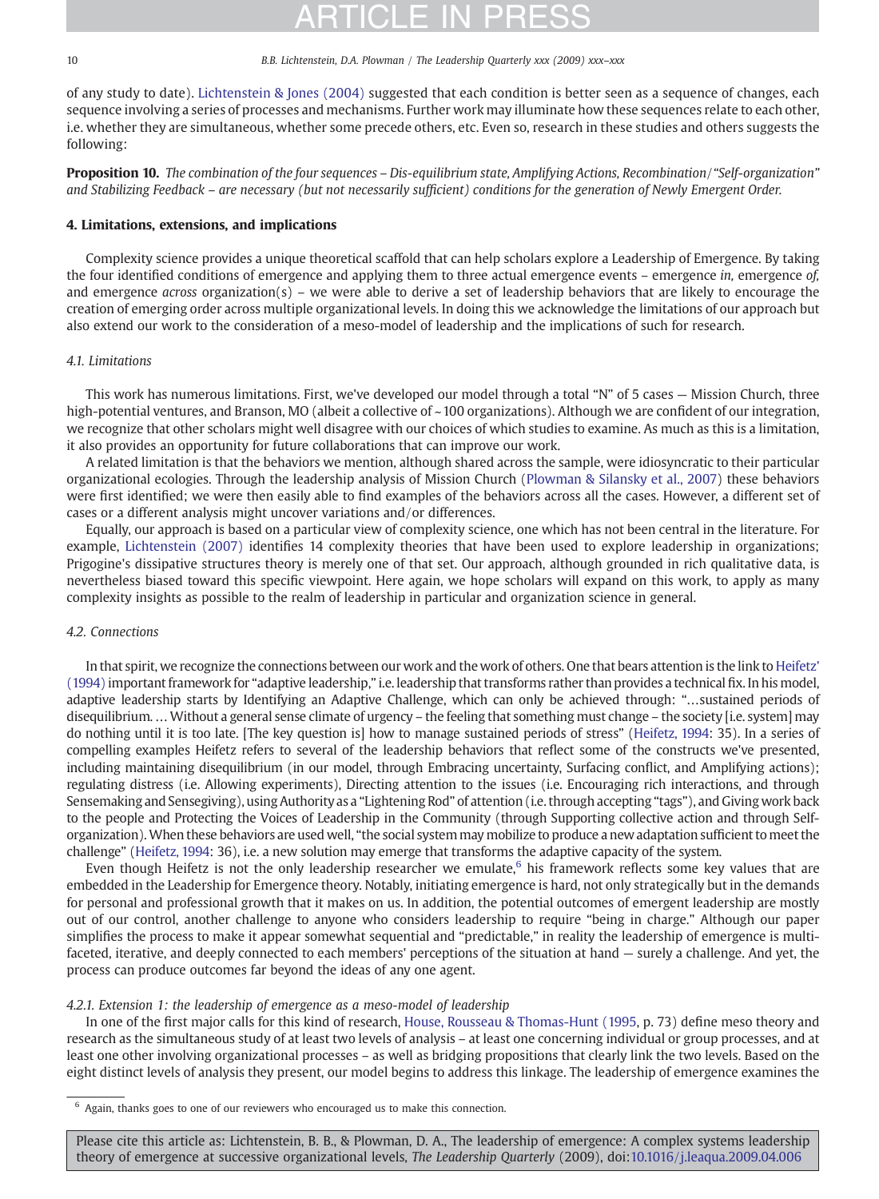#### 10 B.B. Lichtenstein, D.A. Plowman / The Leadership Quarterly xxx (2009) xxx–xxx

of any study to date). [Lichtenstein & Jones \(2004\)](#page-13-0) suggested that each condition is better seen as a sequence of changes, each sequence involving a series of processes and mechanisms. Further work may illuminate how these sequences relate to each other, i.e. whether they are simultaneous, whether some precede others, etc. Even so, research in these studies and others suggests the following:

Proposition 10. The combination of the four sequences - Dis-equilibrium state, Amplifying Actions, Recombination/"Self-organization" and Stabilizing Feedback – are necessary (but not necessarily sufficient) conditions for the generation of Newly Emergent Order.

#### 4. Limitations, extensions, and implications

Complexity science provides a unique theoretical scaffold that can help scholars explore a Leadership of Emergence. By taking the four identified conditions of emergence and applying them to three actual emergence events – emergence in, emergence of, and emergence *across* organization(s) – we were able to derive a set of leadership behaviors that are likely to encourage the creation of emerging order across multiple organizational levels. In doing this we acknowledge the limitations of our approach but also extend our work to the consideration of a meso-model of leadership and the implications of such for research.

#### 4.1. Limitations

This work has numerous limitations. First, we've developed our model through a total "N" of 5 cases — Mission Church, three high-potential ventures, and Branson, MO (albeit a collective of ~100 organizations). Although we are confident of our integration, we recognize that other scholars might well disagree with our choices of which studies to examine. As much as this is a limitation, it also provides an opportunity for future collaborations that can improve our work.

A related limitation is that the behaviors we mention, although shared across the sample, were idiosyncratic to their particular organizational ecologies. Through the leadership analysis of Mission Church [\(Plowman & Silansky et al., 2007](#page-14-0)) these behaviors were first identified; we were then easily able to find examples of the behaviors across all the cases. However, a different set of cases or a different analysis might uncover variations and/or differences.

Equally, our approach is based on a particular view of complexity science, one which has not been central in the literature. For example, [Lichtenstein \(2007\)](#page-13-0) identifies 14 complexity theories that have been used to explore leadership in organizations; Prigogine's dissipative structures theory is merely one of that set. Our approach, although grounded in rich qualitative data, is nevertheless biased toward this specific viewpoint. Here again, we hope scholars will expand on this work, to apply as many complexity insights as possible to the realm of leadership in particular and organization science in general.

#### 4.2. Connections

In that spirit, we recognize the connections between our work and the work of others. One that bears attention is the link to [Heifetz'](#page-13-0) [\(1994\)](#page-13-0) important framework for "adaptive leadership," i.e. leadership that transforms rather than provides a technical fix. In his model, adaptive leadership starts by Identifying an Adaptive Challenge, which can only be achieved through: "…sustained periods of disequilibrium. …Without a general sense climate of urgency – the feeling that something must change – the society [i.e. system] may do nothing until it is too late. [The key question is] how to manage sustained periods of stress" ([Heifetz, 1994](#page-13-0): 35). In a series of compelling examples Heifetz refers to several of the leadership behaviors that reflect some of the constructs we've presented, including maintaining disequilibrium (in our model, through Embracing uncertainty, Surfacing conflict, and Amplifying actions); regulating distress (i.e. Allowing experiments), Directing attention to the issues (i.e. Encouraging rich interactions, and through Sensemaking and Sensegiving), using Authority as a "Lightening Rod" of attention (i.e. through accepting "tags"), and Giving work back to the people and Protecting the Voices of Leadership in the Community (through Supporting collective action and through Selforganization).When these behaviors are used well, "the social system may mobilize to produce a new adaptation sufficient to meet the challenge" ([Heifetz, 1994:](#page-13-0) 36), i.e. a new solution may emerge that transforms the adaptive capacity of the system.

Even though Heifetz is not the only leadership researcher we emulate, $6$  his framework reflects some key values that are embedded in the Leadership for Emergence theory. Notably, initiating emergence is hard, not only strategically but in the demands for personal and professional growth that it makes on us. In addition, the potential outcomes of emergent leadership are mostly out of our control, another challenge to anyone who considers leadership to require "being in charge." Although our paper simplifies the process to make it appear somewhat sequential and "predictable," in reality the leadership of emergence is multifaceted, iterative, and deeply connected to each members' perceptions of the situation at hand — surely a challenge. And yet, the process can produce outcomes far beyond the ideas of any one agent.

#### 4.2.1. Extension 1: the leadership of emergence as a meso-model of leadership

In one of the first major calls for this kind of research, [House, Rousseau & Thomas-Hunt \(1995](#page-13-0), p. 73) define meso theory and research as the simultaneous study of at least two levels of analysis – at least one concerning individual or group processes, and at least one other involving organizational processes – as well as bridging propositions that clearly link the two levels. Based on the eight distinct levels of analysis they present, our model begins to address this linkage. The leadership of emergence examines the

 $6$  Again, thanks goes to one of our reviewers who encouraged us to make this connection.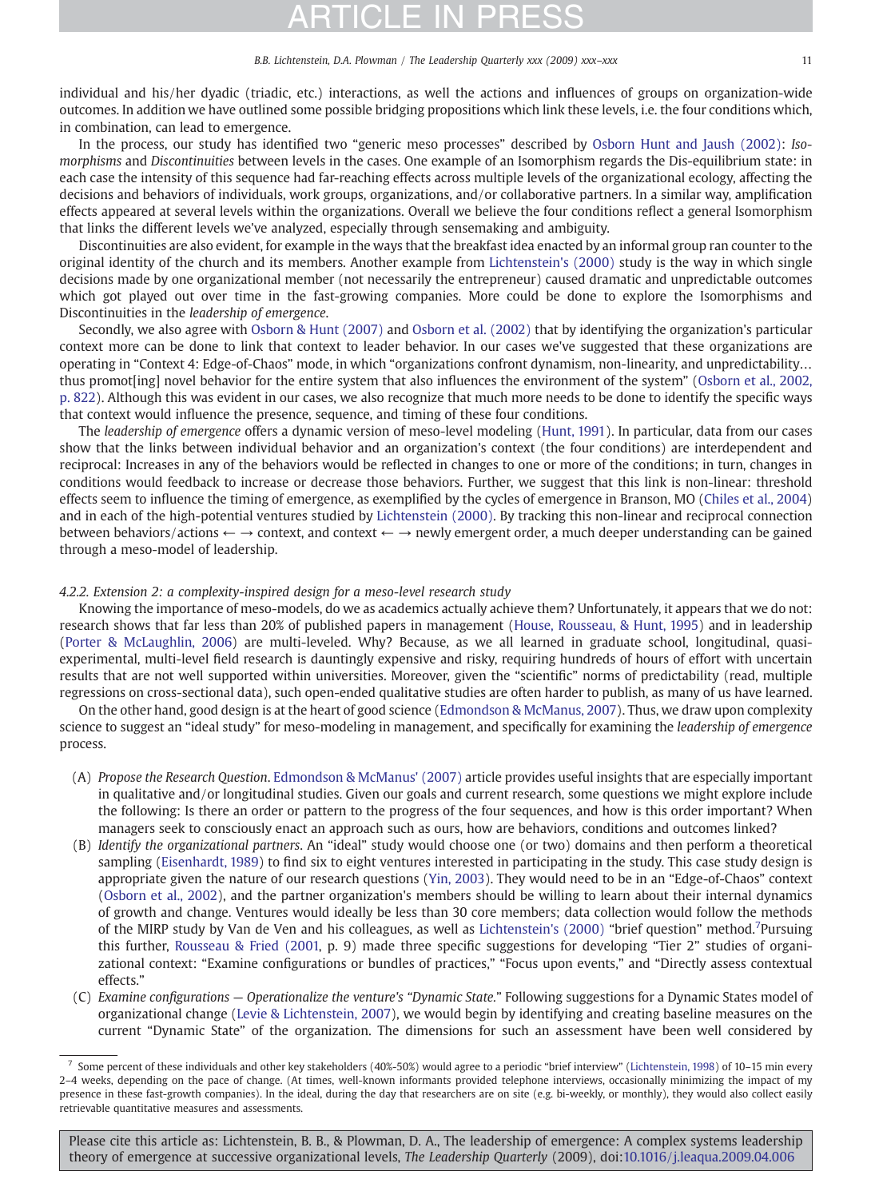### TICLE IN

#### B.B. Lichtenstein, D.A. Plowman / The Leadership Quarterly xxx (2009) xxx–xxx 11

individual and his/her dyadic (triadic, etc.) interactions, as well the actions and influences of groups on organization-wide outcomes. In addition we have outlined some possible bridging propositions which link these levels, i.e. the four conditions which, in combination, can lead to emergence.

In the process, our study has identified two "generic meso processes" described by [Osborn Hunt and Jaush \(2002\):](#page-13-0) Isomorphisms and Discontinuities between levels in the cases. One example of an Isomorphism regards the Dis-equilibrium state: in each case the intensity of this sequence had far-reaching effects across multiple levels of the organizational ecology, affecting the decisions and behaviors of individuals, work groups, organizations, and/or collaborative partners. In a similar way, amplification effects appeared at several levels within the organizations. Overall we believe the four conditions reflect a general Isomorphism that links the different levels we've analyzed, especially through sensemaking and ambiguity.

Discontinuities are also evident, for example in the ways that the breakfast idea enacted by an informal group ran counter to the original identity of the church and its members. Another example from [Lichtenstein's \(2000\)](#page-13-0) study is the way in which single decisions made by one organizational member (not necessarily the entrepreneur) caused dramatic and unpredictable outcomes which got played out over time in the fast-growing companies. More could be done to explore the Isomorphisms and Discontinuities in the leadership of emergence.

Secondly, we also agree with [Osborn & Hunt \(2007\)](#page-13-0) and [Osborn et al. \(2002\)](#page-13-0) that by identifying the organization's particular context more can be done to link that context to leader behavior. In our cases we've suggested that these organizations are operating in "Context 4: Edge-of-Chaos" mode, in which "organizations confront dynamism, non-linearity, and unpredictability… thus promot[ing] novel behavior for the entire system that also influences the environment of the system" [\(Osborn et al., 2002,](#page-13-0) [p. 822](#page-13-0)). Although this was evident in our cases, we also recognize that much more needs to be done to identify the specific ways that context would influence the presence, sequence, and timing of these four conditions.

The leadership of emergence offers a dynamic version of meso-level modeling ([Hunt, 1991](#page-13-0)). In particular, data from our cases show that the links between individual behavior and an organization's context (the four conditions) are interdependent and reciprocal: Increases in any of the behaviors would be reflected in changes to one or more of the conditions; in turn, changes in conditions would feedback to increase or decrease those behaviors. Further, we suggest that this link is non-linear: threshold effects seem to influence the timing of emergence, as exemplified by the cycles of emergence in Branson, MO [\(Chiles et al., 2004\)](#page-13-0) and in each of the high-potential ventures studied by [Lichtenstein \(2000\)](#page-13-0). By tracking this non-linear and reciprocal connection between behaviors/actions  $\leftarrow$   $\rightarrow$  context, and context  $\leftarrow$   $\rightarrow$  newly emergent order, a much deeper understanding can be gained through a meso-model of leadership.

#### 4.2.2. Extension 2: a complexity-inspired design for a meso-level research study

Knowing the importance of meso-models, do we as academics actually achieve them? Unfortunately, it appears that we do not: research shows that far less than 20% of published papers in management [\(House, Rousseau, & Hunt, 1995\)](#page-13-0) and in leadership [\(Porter & McLaughlin, 2006\)](#page-14-0) are multi-leveled. Why? Because, as we all learned in graduate school, longitudinal, quasiexperimental, multi-level field research is dauntingly expensive and risky, requiring hundreds of hours of effort with uncertain results that are not well supported within universities. Moreover, given the "scientific" norms of predictability (read, multiple regressions on cross-sectional data), such open-ended qualitative studies are often harder to publish, as many of us have learned.

On the other hand, good design is at the heart of good science [\(Edmondson & McManus, 2007\)](#page-13-0). Thus, we draw upon complexity science to suggest an "ideal study" for meso-modeling in management, and specifically for examining the leadership of emergence process.

- (A) Propose the Research Question. [Edmondson & McManus' \(2007\)](#page-13-0) article provides useful insights that are especially important in qualitative and/or longitudinal studies. Given our goals and current research, some questions we might explore include the following: Is there an order or pattern to the progress of the four sequences, and how is this order important? When managers seek to consciously enact an approach such as ours, how are behaviors, conditions and outcomes linked?
- (B) Identify the organizational partners. An "ideal" study would choose one (or two) domains and then perform a theoretical sampling ([Eisenhardt, 1989](#page-13-0)) to find six to eight ventures interested in participating in the study. This case study design is appropriate given the nature of our research questions ([Yin, 2003](#page-14-0)). They would need to be in an "Edge-of-Chaos" context [\(Osborn et al., 2002\)](#page-13-0), and the partner organization's members should be willing to learn about their internal dynamics of growth and change. Ventures would ideally be less than 30 core members; data collection would follow the methods of the MIRP study by Van de Ven and his colleagues, as well as [Lichtenstein's \(2000\)](#page-13-0) "brief question" method.<sup>7</sup>Pursuing this further, [Rousseau & Fried \(2001,](#page-14-0) p. 9) made three specific suggestions for developing "Tier 2" studies of organizational context: "Examine configurations or bundles of practices," "Focus upon events," and "Directly assess contextual effects."
- (C) Examine configurations Operationalize the venture's "Dynamic State." Following suggestions for a Dynamic States model of organizational change ([Levie & Lichtenstein, 2007](#page-13-0)), we would begin by identifying and creating baseline measures on the current "Dynamic State" of the organization. The dimensions for such an assessment have been well considered by

<sup>7</sup> Some percent of these individuals and other key stakeholders (40%-50%) would agree to a periodic "brief interview" [\(Lichtenstein, 1998\)](#page-13-0) of 10–15 min every 2–4 weeks, depending on the pace of change. (At times, well-known informants provided telephone interviews, occasionally minimizing the impact of my presence in these fast-growth companies). In the ideal, during the day that researchers are on site (e.g. bi-weekly, or monthly), they would also collect easily retrievable quantitative measures and assessments.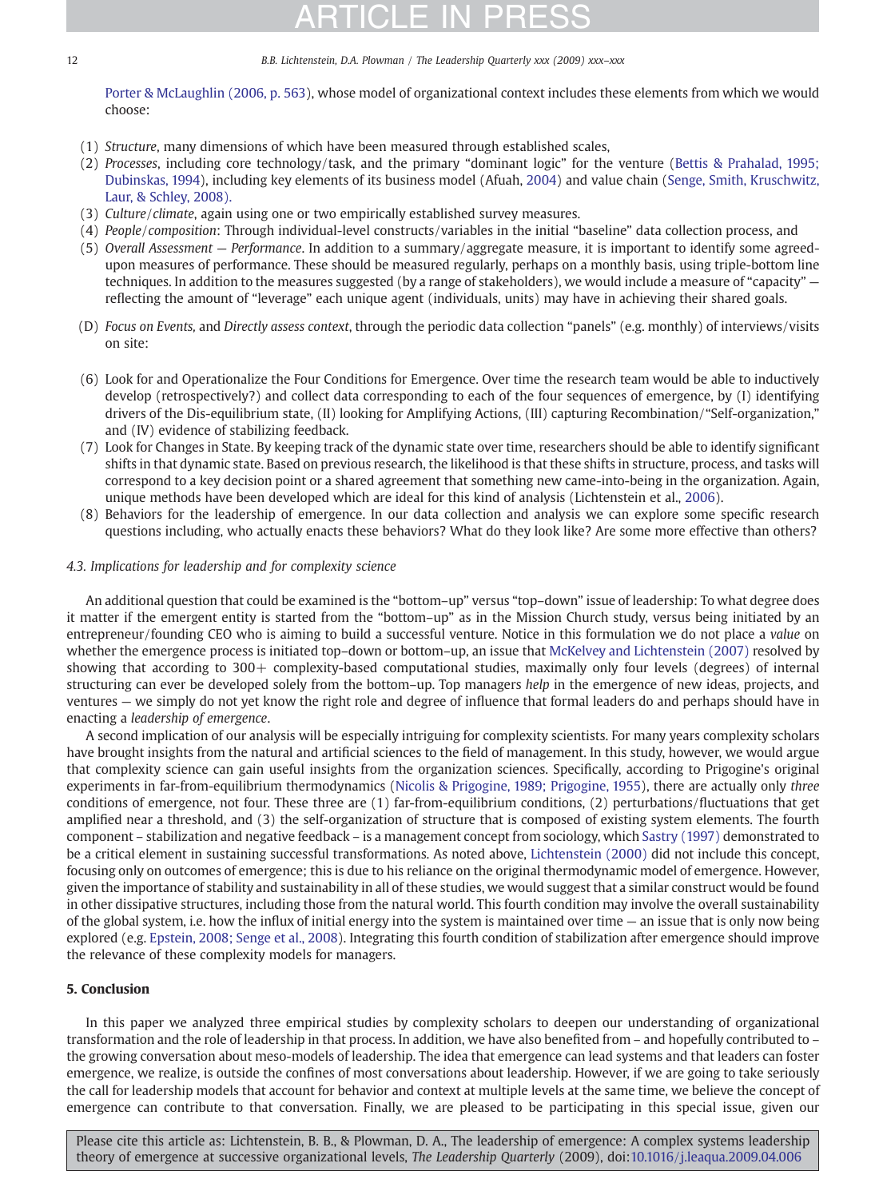### $ICI$   $\vdash$   $I$ N

12 B.B. Lichtenstein, D.A. Plowman / The Leadership Quarterly xxx (2009) xxx–xxx

[Porter & McLaughlin \(2006, p. 563](#page-14-0)), whose model of organizational context includes these elements from which we would choose:

- (1) Structure, many dimensions of which have been measured through established scales,
- (2) Processes, including core technology/task, and the primary "dominant logic" for the venture [\(Bettis & Prahalad, 1995;](#page-13-0) [Dubinskas, 1994\)](#page-13-0), including key elements of its business model (Afuah, [2004\)](#page-13-0) and value chain ([Senge, Smith, Kruschwitz,](#page-14-0) [Laur, & Schley, 2008\).](#page-14-0)
- (3) Culture/climate, again using one or two empirically established survey measures.
- (4) People/composition: Through individual-level constructs/variables in the initial "baseline" data collection process, and
- (5) Overall Assessment Performance. In addition to a summary/aggregate measure, it is important to identify some agreedupon measures of performance. These should be measured regularly, perhaps on a monthly basis, using triple-bottom line techniques. In addition to the measures suggested (by a range of stakeholders), we would include a measure of "capacity" reflecting the amount of "leverage" each unique agent (individuals, units) may have in achieving their shared goals.
- (D) Focus on Events, and Directly assess context, through the periodic data collection "panels" (e.g. monthly) of interviews/visits on site:
- (6) Look for and Operationalize the Four Conditions for Emergence. Over time the research team would be able to inductively develop (retrospectively?) and collect data corresponding to each of the four sequences of emergence, by (I) identifying drivers of the Dis-equilibrium state, (II) looking for Amplifying Actions, (III) capturing Recombination/"Self-organization," and (IV) evidence of stabilizing feedback.
- (7) Look for Changes in State. By keeping track of the dynamic state over time, researchers should be able to identify significant shifts in that dynamic state. Based on previous research, the likelihood is that these shifts in structure, process, and tasks will correspond to a key decision point or a shared agreement that something new came-into-being in the organization. Again, unique methods have been developed which are ideal for this kind of analysis (Lichtenstein et al., [2006\)](#page-13-0).
- (8) Behaviors for the leadership of emergence. In our data collection and analysis we can explore some specific research questions including, who actually enacts these behaviors? What do they look like? Are some more effective than others?

#### 4.3. Implications for leadership and for complexity science

An additional question that could be examined is the "bottom–up" versus "top–down" issue of leadership: To what degree does it matter if the emergent entity is started from the "bottom–up" as in the Mission Church study, versus being initiated by an entrepreneur/founding CEO who is aiming to build a successful venture. Notice in this formulation we do not place a value on whether the emergence process is initiated top–down or bottom–up, an issue that [McKelvey and Lichtenstein \(2007\)](#page-13-0) resolved by showing that according to 300+ complexity-based computational studies, maximally only four levels (degrees) of internal structuring can ever be developed solely from the bottom–up. Top managers help in the emergence of new ideas, projects, and ventures — we simply do not yet know the right role and degree of influence that formal leaders do and perhaps should have in enacting a leadership of emergence.

A second implication of our analysis will be especially intriguing for complexity scientists. For many years complexity scholars have brought insights from the natural and artificial sciences to the field of management. In this study, however, we would argue that complexity science can gain useful insights from the organization sciences. Specifically, according to Prigogine's original experiments in far-from-equilibrium thermodynamics ([Nicolis & Prigogine, 1989; Prigogine, 1955\)](#page-13-0), there are actually only three conditions of emergence, not four. These three are (1) far-from-equilibrium conditions, (2) perturbations/fluctuations that get amplified near a threshold, and (3) the self-organization of structure that is composed of existing system elements. The fourth component – stabilization and negative feedback – is a management concept from sociology, which [Sastry \(1997\)](#page-14-0) demonstrated to be a critical element in sustaining successful transformations. As noted above, [Lichtenstein \(2000\)](#page-13-0) did not include this concept, focusing only on outcomes of emergence; this is due to his reliance on the original thermodynamic model of emergence. However, given the importance of stability and sustainability in all of these studies, we would suggest that a similar construct would be found in other dissipative structures, including those from the natural world. This fourth condition may involve the overall sustainability of the global system, i.e. how the influx of initial energy into the system is maintained over time — an issue that is only now being explored (e.g. [Epstein, 2008; Senge et al., 2008](#page-13-0)). Integrating this fourth condition of stabilization after emergence should improve the relevance of these complexity models for managers.

### 5. Conclusion

In this paper we analyzed three empirical studies by complexity scholars to deepen our understanding of organizational transformation and the role of leadership in that process. In addition, we have also benefited from – and hopefully contributed to – the growing conversation about meso-models of leadership. The idea that emergence can lead systems and that leaders can foster emergence, we realize, is outside the confines of most conversations about leadership. However, if we are going to take seriously the call for leadership models that account for behavior and context at multiple levels at the same time, we believe the concept of emergence can contribute to that conversation. Finally, we are pleased to be participating in this special issue, given our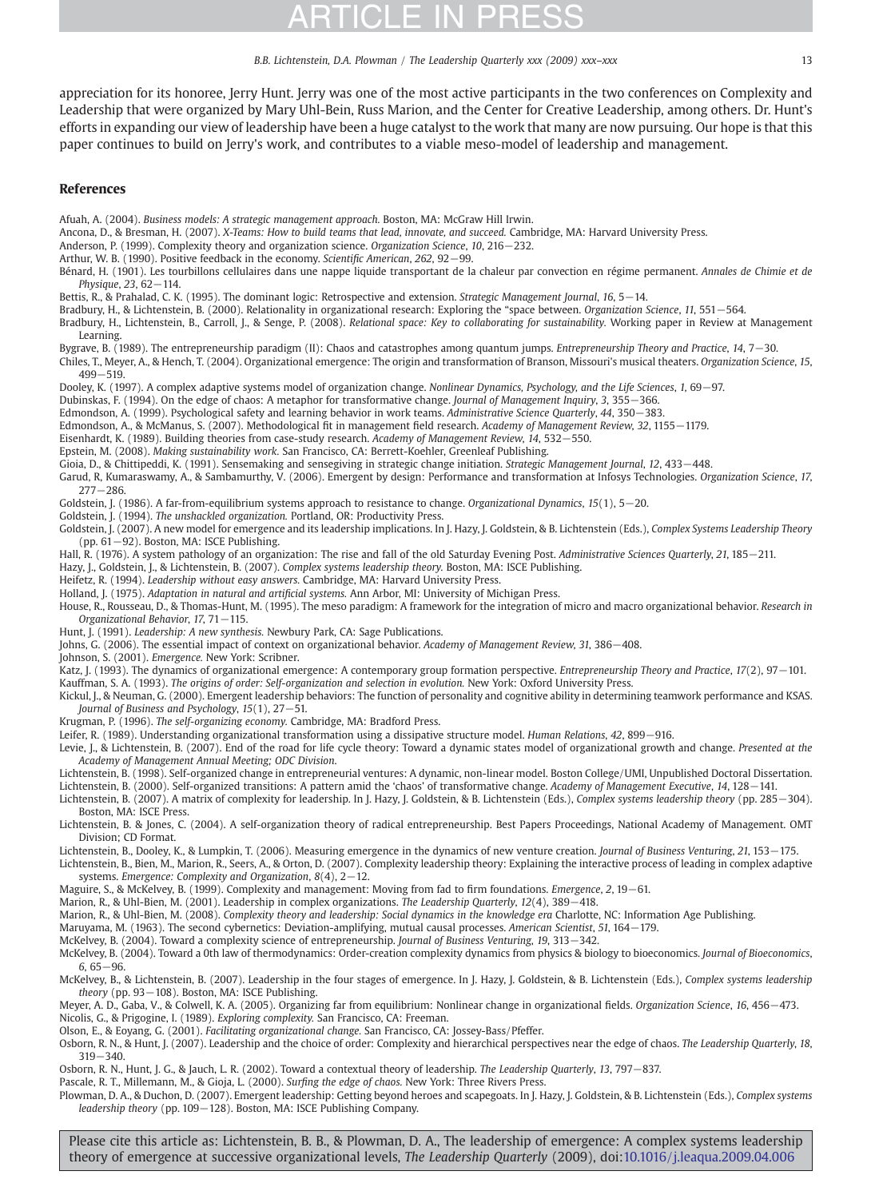## RTICLE IN PR

#### B.B. Lichtenstein, D.A. Plowman / The Leadership Quarterly xxx (2009) xxx–xxx 13

<span id="page-13-0"></span>appreciation for its honoree, Jerry Hunt. Jerry was one of the most active participants in the two conferences on Complexity and Leadership that were organized by Mary Uhl-Bein, Russ Marion, and the Center for Creative Leadership, among others. Dr. Hunt's efforts in expanding our view of leadership have been a huge catalyst to the work that many are now pursuing. Our hope is that this paper continues to build on Jerry's work, and contributes to a viable meso-model of leadership and management.

#### References

- Afuah, A. (2004). Business models: A strategic management approach. Boston, MA: McGraw Hill Irwin.
- Ancona, D., & Bresman, H. (2007). X-Teams: How to build teams that lead, innovate, and succeed. Cambridge, MA: Harvard University Press.
- Anderson, P. (1999). Complexity theory and organization science. Organization Science, 10, 216−232.
- Arthur, W. B. (1990). Positive feedback in the economy. Scientific American, 262, 92−99.
- Bénard, H. (1901). Les tourbillons cellulaires dans une nappe liquide transportant de la chaleur par convection en régime permanent. Annales de Chimie et de Physique, 23, 62−114.
- Bettis, R., & Prahalad, C. K. (1995). The dominant logic: Retrospective and extension. Strategic Management Journal, 16, 5−14.
- Bradbury, H., & Lichtenstein, B. (2000). Relationality in organizational research: Exploring the "space between. Organization Science, 11, 551−564.
- Bradbury, H., Lichtenstein, B., Carroll, J., & Senge, P. (2008). Relational space: Key to collaborating for sustainability. Working paper in Review at Management Learning.
- Bygrave, B. (1989). The entrepreneurship paradigm (II): Chaos and catastrophes among quantum jumps. Entrepreneurship Theory and Practice, 14, 7−30. Chiles, T., Meyer, A., & Hench, T. (2004). Organizational emergence: The origin and transformation of Branson, Missouri's musical theaters. Organization Science, 15,
- 499−519.
- Dooley, K. (1997). A complex adaptive systems model of organization change. Nonlinear Dynamics, Psychology, and the Life Sciences, 1, 69−97.
- Dubinskas, F. (1994). On the edge of chaos: A metaphor for transformative change. Journal of Management Inquiry, 3, 355−366.
- Edmondson, A. (1999). Psychological safety and learning behavior in work teams. Administrative Science Quarterly, 44, 350−383.
- Edmondson, A., & McManus, S. (2007). Methodological fit in management field research. Academy of Management Review, 32, 1155−1179.
- Eisenhardt, K. (1989). Building theories from case-study research. Academy of Management Review, 14, 532−550.
- Epstein, M. (2008). Making sustainability work. San Francisco, CA: Berrett-Koehler, Greenleaf Publishing.
- 
- Gioia, D., & Chittipeddi, K. (1991). Sensemaking and sensegiving in strategic change initiation. *Strategic Management Journal*, 12, 433—448.<br>Garud, R, Kumaraswamy, A., & Sambamurthy, V. (2006). Emergent by design: Perform 277−286.
- Goldstein, J. (1986). A far-from-equilibrium systems approach to resistance to change. Organizational Dynamics, 15(1), 5−20.
- Goldstein, J. (1994). The unshackled organization. Portland, OR: Productivity Press.
- Goldstein, J. (2007). A new model for emergence and its leadership implications. In J. Hazy, J. Goldstein, & B. Lichtenstein (Eds.), Complex Systems Leadership Theory (pp. 61−92). Boston, MA: ISCE Publishing.
- Hall, R. (1976). A system pathology of an organization: The rise and fall of the old Saturday Evening Post. Administrative Sciences Quarterly, 21, 185−211.
- Hazy, J., Goldstein, J., & Lichtenstein, B. (2007). Complex systems leadership theory. Boston, MA: ISCE Publishing.
- Heifetz, R. (1994). Leadership without easy answers. Cambridge, MA: Harvard University Press.
- Holland, J. (1975). Adaptation in natural and artificial systems. Ann Arbor, MI: University of Michigan Press.
- House, R., Rousseau, D., & Thomas-Hunt, M. (1995). The meso paradigm: A framework for the integration of micro and macro organizational behavior. Research in Organizational Behavior, 17, 71−115.
- Hunt, J. (1991). *Leadership: A new synthesis*. Newbury Park, CA: Sage Publications.
- Johns, G. (2006). The essential impact of context on organizational behavior. Academy of Management Review, 31, 386−408.
- Johnson, S. (2001). Emergence. New York: Scribner.
- Katz, J. (1993). The dynamics of organizational emergence: A contemporary group formation perspective. Entrepreneurship Theory and Practice, 17(2), 97−101. Kauffman, S. A. (1993). The origins of order: Self-organization and selection in evolution. New York: Oxford University Press.
- Kickul, J., & Neuman, G. (2000). Emergent leadership behaviors: The function of personality and cognitive ability in determining teamwork performance and KSAS. Journal of Business and Psychology, 15(1), 27−51.
- Krugman, P. (1996). The self-organizing economy. Cambridge, MA: Bradford Press.
- Leifer, R. (1989). Understanding organizational transformation using a dissipative structure model. Human Relations, 42, 899−916.
- Levie, J., & Lichtenstein, B. (2007). End of the road for life cycle theory: Toward a dynamic states model of organizational growth and change. Presented at the Academy of Management Annual Meeting; ODC Division.
- Lichtenstein, B. (1998). Self-organized change in entrepreneurial ventures: A dynamic, non-linear model. Boston College/UMI, Unpublished Doctoral Dissertation.
- Lichtenstein, B. (2000). Self-organized transitions: A pattern amid the 'chaos' of transformative change. Academy of Management Executive, 14, 128−141. Lichtenstein, B. (2007). A matrix of complexity for leadership. In J. Hazy, J. Goldstein, & B. Lichtenstein (Eds.), Complex systems leadership theory (pp. 285−304).
- Boston, MA: ISCE Press. Lichtenstein, B. & Jones, C. (2004). A self-organization theory of radical entrepreneurship. Best Papers Proceedings, National Academy of Management. OMT
- Division; CD Format. Lichtenstein, B., Dooley, K., & Lumpkin, T. (2006). Measuring emergence in the dynamics of new venture creation. Journal of Business Venturing, 21, 153−175.
- Lichtenstein, B., Bien, M., Marion, R., Seers, A., & Orton, D. (2007). Complexity leadership theory: Explaining the interactive process of leading in complex adaptive systems. Emergence: Complexity and Organization, 8(4), 2−12.
- Maguire, S., & McKelvey, B. (1999). Complexity and management: Moving from fad to firm foundations. Emergence, 2, 19−61.
- Marion, R., & Uhl-Bien, M. (2001). Leadership in complex organizations. The Leadership Quarterly, 12(4), 389−418.
- Marion, R., & Uhl-Bien, M. (2008). Complexity theory and leadership: Social dynamics in the knowledge era Charlotte, NC: Information Age Publishing.
- Maruyama, M. (1963). The second cybernetics: Deviation-amplifying, mutual causal processes. American Scientist, 51, 164−179.
- McKelvey, B. (2004). Toward a complexity science of entrepreneurship. Journal of Business Venturing, 19, 313−342.
- McKelvey, B. (2004). Toward a 0th law of thermodynamics: Order-creation complexity dynamics from physics & biology to bioeconomics. Journal of Bioeconomics, 6, 65−96.
- McKelvey, B., & Lichtenstein, B. (2007). Leadership in the four stages of emergence. In J. Hazy, J. Goldstein, & B. Lichtenstein (Eds.), Complex systems leadership theory (pp. 93−108). Boston, MA: ISCE Publishing.
- Meyer, A. D., Gaba, V., & Colwell, K. A. (2005). Organizing far from equilibrium: Nonlinear change in organizational fields. Organization Science, 16, 456−473. Nicolis, G., & Prigogine, I. (1989). Exploring complexity. San Francisco, CA: Freeman.
- Olson, E., & Eoyang, G. (2001). Facilitating organizational change. San Francisco, CA: Jossey-Bass/Pfeffer.
- Osborn, R. N., & Hunt, J. (2007). Leadership and the choice of order: Complexity and hierarchical perspectives near the edge of chaos. The Leadership Quarterly, 18, 319−340.
- Osborn, R. N., Hunt, J. G., & Jauch, L. R. (2002). Toward a contextual theory of leadership. The Leadership Quarterly, 13, 797−837.
- Pascale, R. T., Millemann, M., & Gioja, L. (2000). Surfing the edge of chaos. New York: Three Rivers Press.

Plowman, D. A., & Duchon, D. (2007). Emergent leadership: Getting beyond heroes and scapegoats. In J. Hazy, J. Goldstein, & B. Lichtenstein (Eds.), Complex systems leadership theory (pp. 109−128). Boston, MA: ISCE Publishing Company.